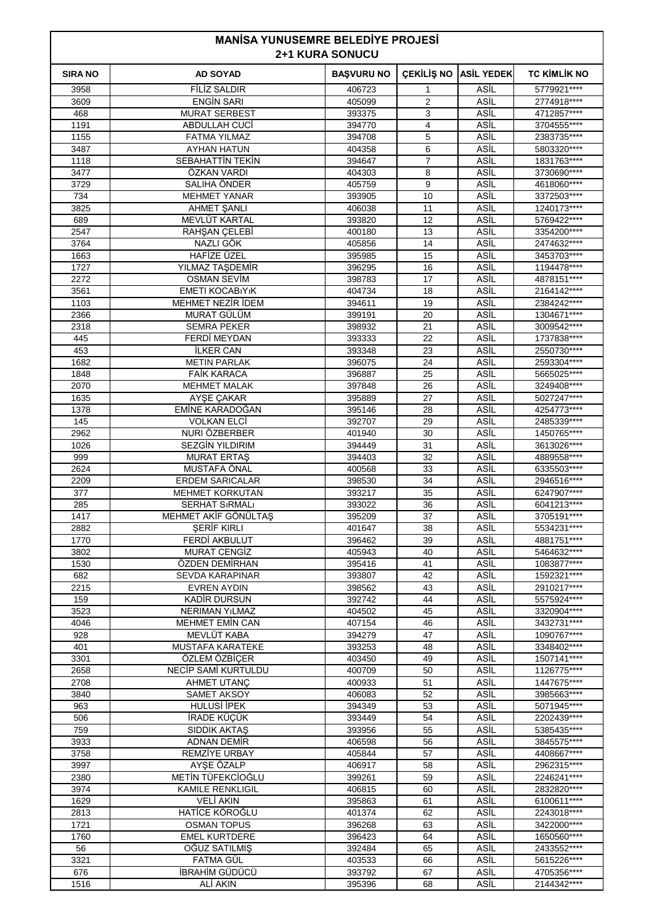| <b>MANISA YUNUSEMRE BELEDIYE PROJESI</b><br><b>2+1 KURA SONUCU</b> |                                              |                   |                     |                     |                            |
|--------------------------------------------------------------------|----------------------------------------------|-------------------|---------------------|---------------------|----------------------------|
| <b>SIRA NO</b>                                                     | <b>AD SOYAD</b>                              | <b>BAŞVURU NO</b> | ÇEKİLİŞ NO          | <b>ASİL YEDEK</b>   | <b>TC KİMLİK NO</b>        |
| 3958                                                               | <b>FİLİZ SALDIR</b>                          | 406723            | 1                   | ASİL                | 5779921****                |
| 3609                                                               | <b>ENGIN SARI</b>                            | 405099            | $\overline{2}$      | ASİL                | 2774918****                |
| 468<br>1191                                                        | <b>MURAT SERBEST</b><br>ABDULLAH CUCİ        | 393375<br>394770  | 3<br>$\overline{4}$ | ASIL<br>ASİL        | 4712857****<br>3704555**** |
| 1155                                                               | <b>FATMA YILMAZ</b>                          | 394708            | 5                   | ASİL                | 2383735****                |
| 3487                                                               | <b>AYHAN HATUN</b>                           | 404358            | 6                   | <b>ASİL</b>         | 5803320****                |
| 1118                                                               | SEBAHATTİN TEKİN                             | 394647            | $\overline{7}$      | ASİL                | 1831763****                |
| 3477                                                               | ÖZKAN VARDI                                  | 404303            | 8                   | ASİL                | 3730690****                |
| 3729                                                               | SALIHA ÖNDER                                 | 405759            | 9                   | ASİL                | 4618060****                |
| 734<br>3825                                                        | <b>MEHMET YANAR</b><br><b>AHMET SANLI</b>    | 393905<br>406038  | 10<br>11            | ASİL<br><b>ASİL</b> | 3372503****<br>1240173**** |
| 689                                                                | MEVLÜT KARTAL                                | 393820            | 12                  | ASİL                | 5769422****                |
| 2547                                                               | RAHŞAN ÇELEBİ                                | 400180            | 13                  | ASİL                | 3354200****                |
| 3764                                                               | NAZLI GÖK                                    | 405856            | 14                  | ASİL                | 2474632****                |
| 1663                                                               | HAFİZE ÜZEL                                  | 395985            | 15                  | ASİL                | 3453703****                |
| 1727                                                               | YILMAZ TAŞDEMİR                              | 396295            | 16                  | <b>ASİL</b>         | 1194478****                |
| 2272<br>3561                                                       | <b>OSMAN SEVIM</b><br>EMETI KOCABIYIK        | 398783<br>404734  | 17<br>18            | ASİL<br>ASİL        | 4878151****<br>2164142**** |
| 1103                                                               | MEHMET NEZIR IDEM                            | 394611            | 19                  | ASİL                | 2384242****                |
| 2366                                                               | MURAT GÜLÜM                                  | 399191            | 20                  | ASİL                | 1304671****                |
| 2318                                                               | <b>SEMRA PEKER</b>                           | 398932            | 21                  | <b>ASİL</b>         | 3009542****                |
| 445                                                                | FERDI MEYDAN                                 | 393333            | 22                  | ASİL                | 1737838****                |
| 453                                                                | <b>ILKER CAN</b>                             | 393348            | 23                  | ASİL                | 2550730****                |
| 1682<br>1848                                                       | <b>METIN PARLAK</b><br><b>FAİK KARACA</b>    | 396075<br>396887  | 24<br>25            | ASİL<br>ASİL        | 2593304****<br>5665025**** |
| 2070                                                               | MEHMET MALAK                                 | 397848            | 26                  | <b>ASİL</b>         | 3249408 ****               |
| 1635                                                               | AYSE CAKAR                                   | 395889            | 27                  | ASİL                | 5027247****                |
| 1378                                                               | EMINE KARADOGAN                              | 395146            | 28                  | ASİL                | 4254773****                |
| 145                                                                | <b>VOLKAN ELCÍ</b>                           | 392707            | 29                  | ASİL                | 2485339****                |
| 2962                                                               | NURI ÖZBERBER                                | 401940            | 30                  | ASİL                | 1450765****                |
| 1026<br>999                                                        | <b>SEZGİN YILDIRIM</b><br><b>MURAT ERTAS</b> | 394449<br>394403  | 31<br>32            | <b>ASİL</b><br>ASİL | 3613026****<br>4889558**** |
| 2624                                                               | MUSTAFA ÖNAL                                 | 400568            | 33                  | ASİL                | 6335503****                |
| 2209                                                               | <b>ERDEM SARICALAR</b>                       | 398530            | 34                  | ASİL                | 2946516****                |
| 377                                                                | <b>MEHMET KORKUTAN</b>                       | 393217            | 35                  | ASİL                | 6247907****                |
| 285                                                                | <b>SERHAT SIRMALI</b>                        | 393022            | 36                  | ASİL                | 6041213****                |
| 1417                                                               | MEHMET AKİF GÖNÜLTAS                         | 395209            | 37                  | ASİL                | 3705191****                |
| 2882<br>1770                                                       | <b>SERIF KIRLI</b><br><b>FERDİ AKBULUT</b>   | 401647<br>396462  | 38<br>39            | ASİL<br>ASİL        | 5534231****<br>4881751**** |
| 3802                                                               | <b>MURAT CENGİZ</b>                          | 405943            | 40                  | ASİL                | 5464632****                |
| 1530                                                               | ÖZDEN DEMİRHAN                               | 395416            | 41                  | ASİL                | 1083877****                |
| 682                                                                | <b>SEVDA KARAPINAR</b>                       | 393807            | 42                  | ASİL                | 1592321 ****               |
| 2215                                                               | <b>EVREN AYDIN</b>                           | 398562            | 43                  | ASİL                | 2910217****                |
| 159<br>3523                                                        | KADIR DURSUN<br><b>NERIMAN YILMAZ</b>        | 392742<br>404502  | 44<br>45            | <b>ASIL</b><br>ASİL | 5575924****<br>3320904**** |
| 4046                                                               | MEHMET EMIN CAN                              | 407154            | 46                  | ASİL                | 3432731****                |
| 928                                                                | MEVLÜT KABA                                  | 394279            | 47                  | ASİL                | 1090767****                |
| 401                                                                | <b>MUSTAFA KARATEKE</b>                      | 393253            | 48                  | ASİL                | 3348402****                |
| 3301                                                               | ÖZLEM ÖZBİÇER                                | 403450            | 49                  | ASİL                | 1507141****                |
| 2658                                                               | NECIP SAMI KURTULDU                          | 400709            | 50                  | ASİL                | 1126775****                |
| 2708<br>3840                                                       | AHMET UTANÇ<br><b>SAMET AKSOY</b>            | 400933<br>406083  | 51<br>52            | ASİL<br>ASİL        | 1447675****<br>3985663**** |
| 963                                                                | <b>HULUSİ İPEK</b>                           | 394349            | 53                  | ASİL                | 5071945****                |
| 506                                                                | İRADE KÜÇÜK                                  | 393449            | 54                  | ASİL                | 2202439 ****               |
| 759                                                                | <b>SIDDIK AKTAS</b>                          | 393956            | 55                  | <b>ASİL</b>         | 5385435****                |
| 3933                                                               | <b>ADNAN DEMIR</b>                           | 406598            | 56                  | ASİL                | 3845575****                |
| 3758                                                               | <b>REMZİYE URBAY</b>                         | 405844            | 57                  | ASİL                | 4408667****                |
| 3997<br>2380                                                       | AYSE ÖZALP<br>METİN TÜFEKCİOĞLU              | 406917<br>399261  | 58<br>59            | ASİL<br>ASİL        | 2962315****<br>2246241**** |
| 3974                                                               | <b>KAMILE RENKLIGIL</b>                      | 406815            | 60                  | ASİL                | 2832820****                |
| 1629                                                               | <b>VELİ AKIN</b>                             | 395863            | 61                  | ASİL                | 6100611****                |
| 2813                                                               | HATİCE KÖROĞLU                               | 401374            | 62                  | ASİL                | 2243018****                |
| 1721                                                               | <b>OSMAN TOPUS</b>                           | 396268            | 63                  | ASİL                | 3422000****                |
| 1760<br>56                                                         | <b>EMEL KURTDERE</b>                         | 396423<br>392484  | 64<br>65            | <b>ASIL</b><br>ASİL | 1650560****<br>2433552**** |
| 3321                                                               | OĞUZ SATILMIŞ<br>FATMA GÜL                   | 403533            | 66                  | ASİL                | 5615226****                |
| 676                                                                | İBRAHİM GÜDÜCÜ                               | 393792            | 67                  | ASİL                | 4705356****                |
| 1516                                                               | ALİ AKIN                                     | 395396            | 68                  | ASİL                | 2144342****                |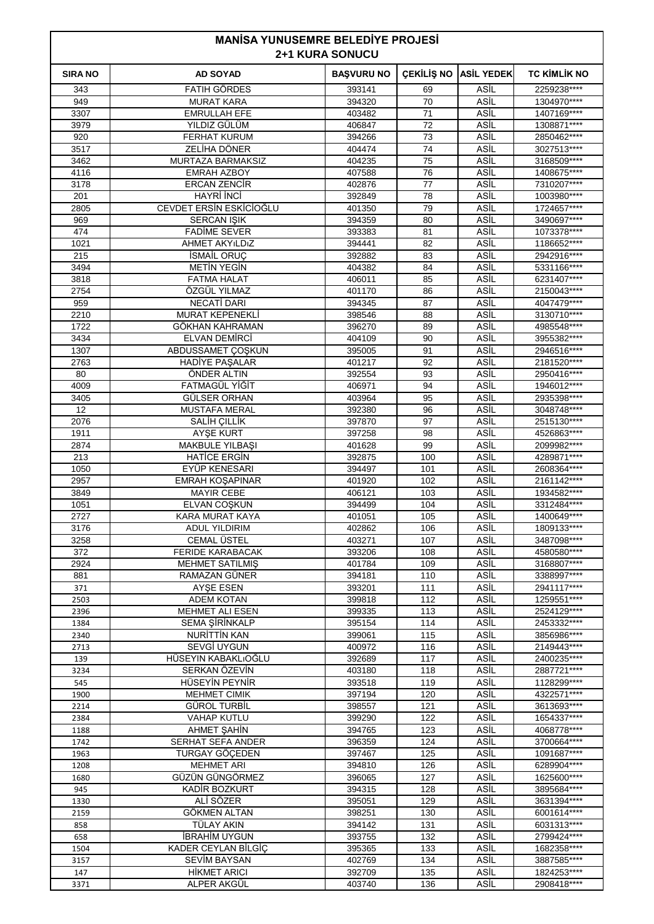## **MANİSA YUNUSEMRE BELEDİYE PROJESİ 2+1 KURA SONUCU**

|                | ZTI NUNA JUNUUU                           |                   |            |                   |                            |  |  |  |
|----------------|-------------------------------------------|-------------------|------------|-------------------|----------------------------|--|--|--|
| <b>SIRA NO</b> | <b>AD SOYAD</b>                           | <b>BAŞVURU NO</b> | ÇEKİLİŞ NO | <b>ASİL YEDEK</b> | <b>TC KIMLIK NO</b>        |  |  |  |
| 343            | <b>FATIH GORDES</b>                       | 393141            | 69         | ASİL              | 2259238****                |  |  |  |
| 949            | <b>MURAT KARA</b>                         | 394320            | 70         | ASİL              | 1304970****                |  |  |  |
| 3307           | <b>EMRULLAH EFE</b>                       | 403482            | 71         | ASİL              | 1407169****                |  |  |  |
| 3979           | YILDIZ GÜLÜM                              | 406847            | 72         | ASİL              | 1308871****                |  |  |  |
| 920            | <b>FERHAT KURUM</b>                       | 394266            | 73         | ASİL              | 2850462****                |  |  |  |
| 3517           | <b>ZELIHA DÖNER</b>                       | 404474            | 74         | ASİL              | 3027513****                |  |  |  |
| 3462           | MURTAZA BARMAKSIZ                         | 404235            | 75         | ASİL              | 3168509****                |  |  |  |
| 4116           | <b>EMRAH AZBOY</b>                        | 407588            | 76         | ASİL              | 1408675****                |  |  |  |
| 3178           | <b>ERCAN ZENCIR</b>                       | 402876            | 77         | ASİL              | 7310207****                |  |  |  |
| 201            | HAYRİ İNCİ                                | 392849            | 78         | ASİL              | 1003980****                |  |  |  |
| 2805           | CEVDET ERSIN ESKICIOĞLU                   | 401350            | 79         | ASİL              | 1724657****                |  |  |  |
| 969            | SERCAN IŞIK                               | 394359            | 80         | ASİL              | 3490697****                |  |  |  |
| 474            | <b>FADİME SEVER</b>                       | 393383            | 81         | ASİL              | 1073378****                |  |  |  |
| 1021           | <b>AHMET AKYILDIZ</b>                     | 394441            | 82         | ASİL              | 1186652****                |  |  |  |
| 215            | <b>İSMAİL ORUC</b>                        | 392882            | 83         | ASİL              | 2942916****                |  |  |  |
| 3494           | METIN YEGIN                               | 404382            | 84         | ASİL              | 5331166****                |  |  |  |
| 3818           | <b>FATMA HALAT</b>                        | 406011            | 85         | ASİL              | 6231407****                |  |  |  |
| 2754           | ÖZGÜL YILMAZ                              | 401170            | 86         | ASİL              | 2150043****                |  |  |  |
| 959            | <b>NECATI DARI</b>                        | 394345            | 87         | ASİL              | 4047479 ****               |  |  |  |
| 2210           | <b>MURAT KEPENEKLİ</b>                    | 398546            | 88         | ASİL              | 3130710****                |  |  |  |
| 1722           | GÖKHAN KAHRAMAN                           | 396270            | 89         | ASİL              | 4985548****                |  |  |  |
| 3434           | ELVAN DEMIRCI                             | 404109            | 90         | ASİL              | 3955382****                |  |  |  |
| 1307           | ABDUSSAMET ÇOŞKUN                         | 395005            | 91         | ASİL              | 2946516****                |  |  |  |
| 2763           | <b>HADİYE PAŞALAR</b>                     | 401217            | 92         | ASİL              | 2181520****                |  |  |  |
| 80             | ÖNDER ALTIN                               | 392554            | 93         | ASİL              | 2950416****                |  |  |  |
| 4009           | FATMAGÜL YİĞİT                            | 406971            | 94         | ASİL              | 1946012****                |  |  |  |
| 3405<br>12     | GÜLSER ORHAN<br><b>MUSTAFA MERAL</b>      | 403964            | 95<br>96   | ASİL<br>ASİL      | 2935398****<br>3048748**** |  |  |  |
| 2076           | SALİH ÇILLİK                              | 392380<br>397870  | 97         | ASİL              | 2515130****                |  |  |  |
| 1911           | <b>AYSE KURT</b>                          | 397258            | 98         | ASİL              | 4526863****                |  |  |  |
| 2874           | <b>MAKBULE YILBAŞI</b>                    | 401628            | 99         | ASIL              | 2099982****                |  |  |  |
| 213            | <b>HATICE ERGIN</b>                       | 392875            | 100        | ASİL              | 4289871 ****               |  |  |  |
| 1050           | EYÜP KENESARI                             | 394497            | 101        | ASİL              | 2608364****                |  |  |  |
| 2957           | <b>EMRAH KOŞAPINAR</b>                    | 401920            | 102        | ASİL              | 2161142****                |  |  |  |
| 3849           | <b>MAYIR CEBE</b>                         | 406121            | 103        | ASİL              | 1934582****                |  |  |  |
| 1051           | ELVAN COŞKUN                              | 394499            | 104        | ASİL              | 3312484****                |  |  |  |
| 2727           | KARA MURAT KAYA                           | 401051            | 105        | ASİL              | 1400649****                |  |  |  |
| 3176           | <b>ADUL YILDIRIM</b>                      | 402862            | 106        | ASİL              | 1809133****                |  |  |  |
| 3258           | <b>CEMAL ÜSTEL</b>                        | 403271            | 107        | ASİL              | 3487098****                |  |  |  |
| 372            | FERIDE KARABACAK                          | 393206            | 108        | ASİL              | 4580580****                |  |  |  |
| 2924           | <b>MEHMET SATILMIS</b>                    | 401784            | 109        | ASİL              | 3168807****                |  |  |  |
| 881            | RAMAZAN GÜNER                             | 394181            | 110        | ASİL              | 3388997****                |  |  |  |
| 371            | AYŞE ESEN                                 | 393201            | 111        | ASİL              | 2941117****                |  |  |  |
| 2503           | <b>ADEM KOTAN</b>                         | 399818            | 112        | ASİL              | 1259551****                |  |  |  |
| 2396           | <b>MEHMET ALI ESEN</b>                    | 399335            | 113        | ASİL              | 2524129****                |  |  |  |
| 1384           | <b>SEMA ŞİRİNKALP</b>                     | 395154            | 114        | ASİL              | 2453332****                |  |  |  |
| 2340           | <b>NURITTIN KAN</b>                       | 399061            | 115        | ASİL              | 3856986****                |  |  |  |
| 2713           | <b>SEVGİ UYGUN</b><br>HÜSEYIN KABAKLIOĞLU | 400972<br>392689  | 116<br>117 | ASİL              | 2149443****<br>2400235**** |  |  |  |
| 139            |                                           |                   |            | ASİL              |                            |  |  |  |
| 3234           | SERKAN ÖZEVİN<br>HÜSEYİN PEYNİR           | 403180<br>393518  | 118<br>119 | ASİL<br>ASİL      | 2887721****<br>1128299**** |  |  |  |
| 545<br>1900    | <b>MEHMET CIMIK</b>                       | 397194            | 120        | ASİL              | 4322571****                |  |  |  |
| 2214           | <b>GÜROL TURBİL</b>                       | 398557            | 121        | ASİL              | 3613693****                |  |  |  |
| 2384           | <b>VAHAP KUTLU</b>                        | 399290            | 122        | ASİL              | 1654337****                |  |  |  |
| 1188           | AHMET SAHİN                               | 394765            | 123        | ASİL              | 4068778****                |  |  |  |
| 1742           | SERHAT SEFA ANDER                         | 396359            | 124        | ASİL              | 3700664****                |  |  |  |
| 1963           | TURGAY GÖÇEDEN                            | 397467            | 125        | ASİL              | 1091687****                |  |  |  |
| 1208           | <b>MEHMET ARI</b>                         | 394810            | 126        | ASİL              | 6289904****                |  |  |  |
| 1680           | GÜZÜN GÜNGÖRMEZ                           | 396065            | 127        | ASİL              | 1625600****                |  |  |  |
| 945            | <b>KADIR BOZKURT</b>                      | 394315            | 128        | ASİL              | 3895684****                |  |  |  |
| 1330           | ALI SÖZER                                 | 395051            | 129        | ASİL              | 3631394****                |  |  |  |
| 2159           | <b>GÖKMEN ALTAN</b>                       | 398251            | 130        | ASİL              | 6001614****                |  |  |  |
| 858            | TÜLAY AKIN                                | 394142            | 131        | ASİL              | 6031313****                |  |  |  |
| 658            | <b>İBRAHİM UYGUN</b>                      | 393755            | 132        | ASİL              | 2799424****                |  |  |  |
| 1504           | KADER CEYLAN BİLGİC                       | 395365            | 133        | ASİL              | 1682358****                |  |  |  |
| 3157           | <b>SEVIM BAYSAN</b>                       | 402769            | 134        | ASİL              | 3887585****                |  |  |  |
| 147            | <b>HİKMET ARICI</b>                       | 392709            | 135        | ASİL              | 1824253****                |  |  |  |
| 3371           | ALPER AKGÜL                               | 403740            | 136        | ASİL              | 2908418****                |  |  |  |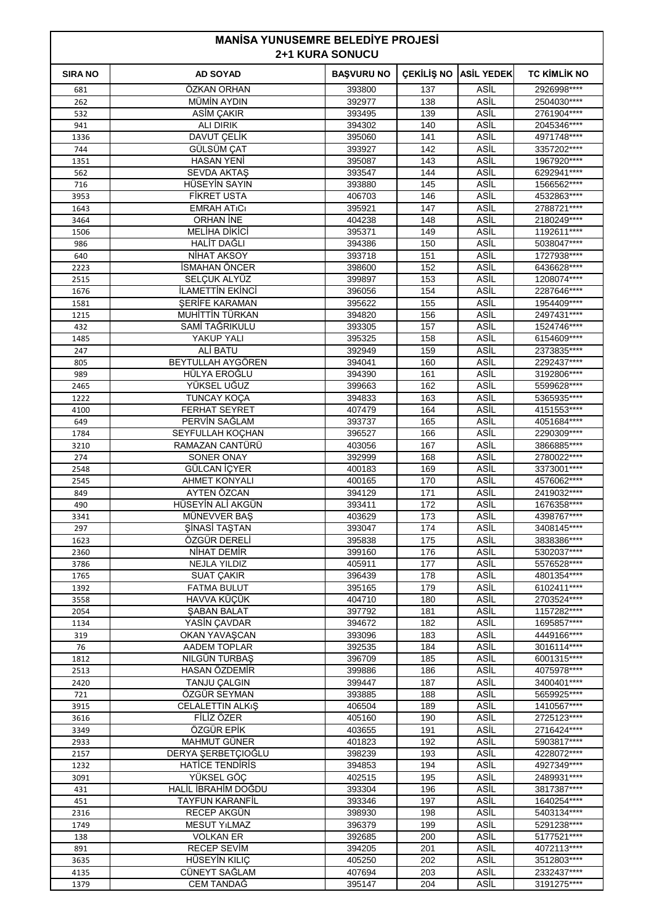| <b>MANISA YUNUSEMRE BELEDIYE PROJESI</b><br><b>2+1 KURA SONUCU</b> |                                       |                   |                   |                            |                            |
|--------------------------------------------------------------------|---------------------------------------|-------------------|-------------------|----------------------------|----------------------------|
| <b>SIRA NO</b>                                                     | <b>AD SOYAD</b>                       | <b>BAŞVURU NO</b> | <b>CEKİLİŞ NO</b> | <b>ASİL YEDEK</b>          | <b>TC KİMLİK NO</b>        |
| 681                                                                | ÖZKAN ORHAN                           | 393800            | 137               | ASİL                       | 2926998 ****               |
| 262                                                                | <b>MÜMİN AYDIN</b>                    | 392977            | 138               | ASİL                       | 2504030****                |
| 532                                                                | ASİM ÇAKIR                            | 393495            | 139               | ASİL                       | 2761904****                |
| 941                                                                | ALI DIRIK                             | 394302            | 140               | ASİL                       | 2045346****                |
| 1336                                                               | DAVUT ÇELİK                           | 395060            | 141               | ASİL                       | 4971748****                |
| 744<br>1351                                                        | GÜLSÜM ÇAT<br><b>HASAN YENİ</b>       | 393927<br>395087  | 142<br>143        | ASİL<br>ASİL               | 3357202****<br>1967920**** |
| 562                                                                | <b>SEVDA AKTAŞ</b>                    | 393547            | 144               | ASİL                       | 6292941****                |
| 716                                                                | HÜSEYİN SAYIN                         | 393880            | 145               | ASİL                       | 1566562****                |
| 3953                                                               | <b>FİKRET USTA</b>                    | 406703            | 146               | ASİL                       | 4532863****                |
| 1643                                                               | <b>EMRAH ATICI</b>                    | 395921            | 147               | ASİL                       | 2788721****                |
| 3464                                                               | ORHAN INE                             | 404238            | 148               | ASİL                       | 2180249****                |
| 1506                                                               | <b>MELİHA DİKİCİ</b>                  | 395371            | 149               | ASİL                       | 1192611****                |
| 986                                                                | <b>HALIT DAGLI</b>                    | 394386            | 150               | ASİL                       | 5038047****                |
| 640                                                                | NIHAT AKSOY                           | 393718            | 151               | ASİL                       | 1727938 ****               |
| 2223                                                               | İSMAHAN ÖNCER                         | 398600            | 152               | ASİL                       | 6436628****                |
| 2515                                                               | SELÇUK ALYÜZ<br>İLAMETTİN EKİNCİ      | 399897            | 153<br>154        | ASİL<br>ASİL               | 1208074****<br>2287646**** |
| 1676<br>1581                                                       | <b>SERIFE KARAMAN</b>                 | 396056<br>395622  | 155               | ASİL                       | 1954409 ****               |
| 1215                                                               | MUHİTTİN TÜRKAN                       | 394820            | 156               | ASİL                       | 2497431****                |
| 432                                                                | SAMİ TAĞRIKULU                        | 393305            | 157               | ASİL                       | 1524746****                |
| 1485                                                               | YAKUP YALI                            | 395325            | 158               | ASİL                       | 6154609****                |
| 247                                                                | ALİ BATU                              | 392949            | 159               | ASİL                       | 2373835****                |
| 805                                                                | BEYTULLAH AYGÖREN                     | 394041            | 160               | ASİL                       | 2292437****                |
| 989                                                                | HÜLYA EROĞLU                          | 394390            | 161               | ASİL                       | 3192806****                |
| 2465                                                               | YÜKSEL UĞUZ                           | 399663            | 162               | ASİL                       | 5599628****                |
| 1222                                                               | <b>TUNCAY KOÇA</b>                    | 394833            | 163               | ASİL                       | 5365935****                |
| 4100                                                               | <b>FERHAT SEYRET</b>                  | 407479            | 164               | ASİL                       | 4151553****                |
| 649<br>1784                                                        | PERVÍN SAĞLAM<br>SEYFULLAH KOCHAN     | 393737<br>396527  | 165<br>166        | ASİL<br>ASİL               | 4051684****<br>2290309**** |
| 3210                                                               | RAMAZAN CANTÜRÜ                       | 403056            | 167               | ASİL                       | 3866885****                |
| 274                                                                | <b>SONER ONAY</b>                     | 392999            | 168               | ASİL                       | 2780022****                |
| 2548                                                               | GÜLCAN İÇYER                          | 400183            | 169               | ASİL                       | 3373001****                |
| 2545                                                               | <b>AHMET KONYALI</b>                  | 400165            | 170               | ASİL                       | 4576062****                |
| 849                                                                | AYTEN ÖZCAN                           | 394129            | 171               | ASİL                       | 2419032****                |
| 490                                                                | HÜSEYİN ALİ AKGÜN                     | 393411            | 172               | ASİL                       | 1676358****                |
| 3341                                                               | MÜNEVVER BAS                          | 403629            | 173               | ASİL                       | 4398767****                |
| 297                                                                | ŞİNASİ TAŞTAN                         | 393047            | 174               | ASİL                       | 3408145****                |
| 1623                                                               | ÖZGÜR DERELİ                          | 395838            | 175               | ASİL                       | 3838386****                |
| 2360<br>3786                                                       | NİHAT DEMİR<br><b>NEJLA YILDIZ</b>    | 399160<br>405911  | 176<br>177        | ASİL<br><b>ASIL</b>        | 5302037****<br>5576528**** |
| 1765                                                               | <b>SUAT ÇAKIR</b>                     | 396439            | 178               | ASİL                       | 4801354****                |
| 1392                                                               | <b>FATMA BULUT</b>                    | 395165            | 179               | ASİL                       | 6102411****                |
| 3558                                                               | HAVVA KÜÇÜK                           | 404710            | 180               | ASİL                       | 2703524****                |
| 2054                                                               | <b>SABAN BALAT</b>                    | 397792            | 181               | <b>ASIL</b>                | 1157282****                |
| 1134                                                               | YASİN ÇAVDAR                          | 394672            | 182               | <b>ASIL</b>                | 1695857****                |
| 319                                                                | OKAN YAVAŞCAN                         | 393096            | 183               | ASİL                       | 4449166****                |
| 76                                                                 | <b>AADEM TOPLAR</b>                   | 392535            | 184               | ASİL                       | 3016114****                |
| 1812                                                               | NILGÜN TURBAŞ                         | 396709            | 185               | ASİL                       | 6001315****                |
| 2513<br>2420                                                       | HASAN ÖZDEMİR                         | 399886<br>399447  | 186<br>187        | <b>ASIL</b><br><b>ASIL</b> | 4075978****<br>3400401**** |
| 721                                                                | TANJU ÇALGIN<br>ÖZGÜR SEYMAN          | 393885            | 188               | ASİL                       | 5659925****                |
| 3915                                                               | CELALETTIN ALKIŞ                      | 406504            | 189               | ASİL                       | 1410567****                |
| 3616                                                               | FİLİZ ÖZER                            | 405160            | 190               | ASİL                       | 2725123****                |
| 3349                                                               | ÖZGÜR EPİK                            | 403655            | 191               | <b>ASIL</b>                | 2716424****                |
| 2933                                                               | MAHMUT GÜNER                          | 401823            | 192               | <b>ASIL</b>                | 5903817****                |
| 2157                                                               | DERYA ŞERBETÇIOĞLU                    | 398239            | 193               | ASİL                       | 4228072****                |
| 1232                                                               | <b>HATICE TENDIRIS</b>                | 394853            | 194               | ASİL                       | 4927349****                |
| 3091                                                               | YÜKSEL GÖC                            | 402515            | 195               | ASİL                       | 2489931****                |
| 431                                                                | HALİL İBRAHİM DOĞDU                   | 393304            | 196               | <b>ASIL</b>                | 3817387****                |
| 451                                                                | <b>TAYFUN KARANFİL</b><br>RECEP AKGÜN | 393346<br>398930  | 197<br>198        | <b>ASIL</b><br>ASİL        | 1640254****<br>5403134**** |
| 2316<br>1749                                                       | <b>MESUT YILMAZ</b>                   | 396379            | 199               | ASİL                       | 5291238****                |
| 138                                                                | <b>VOLKAN ER</b>                      | 392685            | 200               | ASİL                       | 5177521****                |
| 891                                                                | <b>RECEP SEVIM</b>                    | 394205            | 201               | <b>ASIL</b>                | 4072113****                |
| 3635                                                               | HÜSEYİN KILIC                         | 405250            | 202               | <b>ASIL</b>                | 3512803****                |
| 4135                                                               | CÜNEYT SAĞLAM                         | 407694            | 203               | ASİL                       | 2332437****                |
| 1379                                                               | <b>CEM TANDAĞ</b>                     | 395147            | 204               | ASİL                       | 3191275****                |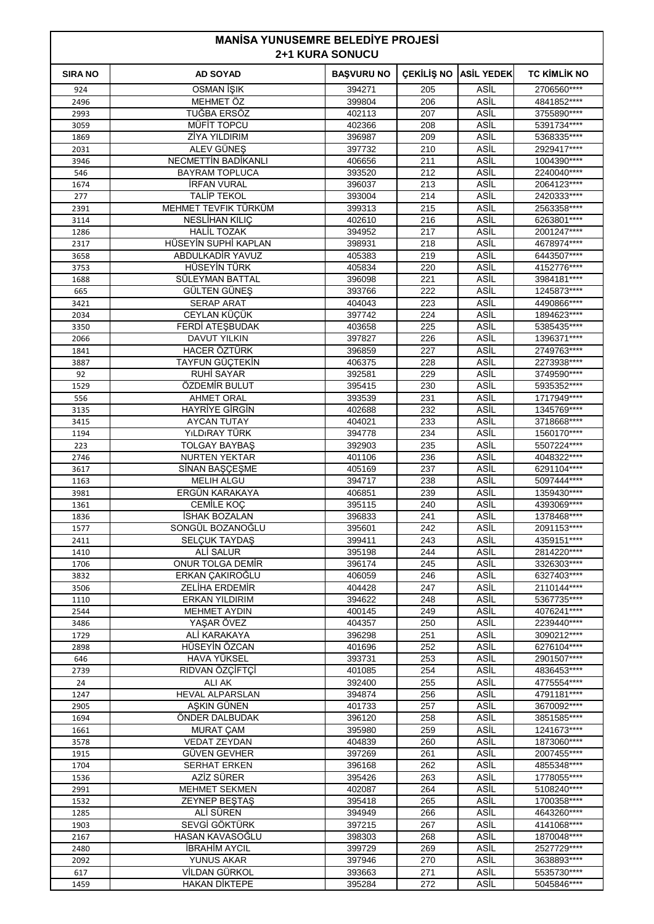| <b>MANISA YUNUSEMRE BELEDIYE PROJESI</b><br><b>2+1 KURA SONUCU</b> |                                              |                   |                   |                     |                            |  |
|--------------------------------------------------------------------|----------------------------------------------|-------------------|-------------------|---------------------|----------------------------|--|
| <b>SIRA NO</b>                                                     | <b>AD SOYAD</b>                              | <b>BAŞVURU NO</b> | <b>CEKİLİŞ NO</b> | <b>ASİL YEDEK</b>   | <b>TC KİMLİK NO</b>        |  |
| 924                                                                | OSMAN İŞIK                                   | 394271            | 205               | ASİL                | 2706560****                |  |
| 2496                                                               | MEHMET ÖZ                                    | 399804            | 206               | ASİL                | 4841852****                |  |
| 2993                                                               | TUĞBA ERSÖZ                                  | 402113            | 207               | ASİL                | 3755890****                |  |
| 3059                                                               | MÜFIT TOPCU                                  | 402366            | 208               | ASİL                | 5391734****                |  |
| 1869                                                               | <b>ZİYA YILDIRIM</b>                         | 396987            | 209               | ASİL                | 5368335****                |  |
| 2031                                                               | ALEV GÜNES                                   | 397732            | 210               | ASİL<br>ASİL        | 2929417****                |  |
| 3946<br>546                                                        | NECMETTIN BADIKANLI<br><b>BAYRAM TOPLUCA</b> | 406656<br>393520  | 211<br>212        | ASİL                | 1004390****<br>2240040**** |  |
| 1674                                                               | <b>IRFAN VURAL</b>                           | 396037            | 213               | ASİL                | 2064123****                |  |
| 277                                                                | <b>TALIP TEKOL</b>                           | 393004            | 214               | ASİL                | 2420333****                |  |
| 2391                                                               | MEHMET TEVFIK TÜRKÜM                         | 399313            | 215               | ASİL                | 2563358****                |  |
| 3114                                                               | NESLİHAN KILIÇ                               | 402610            | 216               | ASİL                | 6263801****                |  |
| 1286                                                               | <b>HALİL TOZAK</b>                           | 394952            | 217               | ASİL                | 2001247****                |  |
| 2317                                                               | HÜSEYİN SUPHİ KAPLAN                         | 398931            | 218               | ASİL                | 4678974****                |  |
| 3658                                                               | ABDULKADİR YAVUZ                             | 405383            | 219               | ASİL                | 6443507****                |  |
| 3753                                                               | HÜSEYİN TÜRK                                 | 405834            | 220               | ASİL                | 4152776****                |  |
| 1688                                                               | SÜLEYMAN BATTAL                              | 396098            | 221               | ASİL                | 3984181****                |  |
| 665                                                                | GÜLTEN GÜNEŞ                                 | 393766            | 222               | ASİL                | 1245873****                |  |
| 3421                                                               | <b>SERAP ARAT</b>                            | 404043            | 223               | ASİL                | 4490866****                |  |
| 2034                                                               | CEYLAN KÜÇÜK                                 | 397742            | 224               | ASİL                | 1894623****                |  |
| 3350                                                               | <b>FERDİ ATEŞBUDAK</b>                       | 403658            | 225               | ASİL<br>ASİL        | 5385435****                |  |
| 2066<br>1841                                                       | DAVUT YILKIN<br><b>HACER ÖZTÜRK</b>          | 397827<br>396859  | 226<br>227        | ASİL                | 1396371****<br>2749763**** |  |
| 3887                                                               | TAYFUN GÜÇTEKİN                              | 406375            | 228               | ASİL                | 2273938****                |  |
| 92                                                                 | RUHİ SAYAR                                   | 392581            | 229               | ASİL                | 3749590****                |  |
| 1529                                                               | ÖZDEMİR BULUT                                | 395415            | 230               | ASİL                | 5935352****                |  |
| 556                                                                | <b>AHMET ORAL</b>                            | 393539            | 231               | ASİL                | 1717949****                |  |
| 3135                                                               | <b>HAYRIYE GIRGIN</b>                        | 402688            | 232               | ASİL                | 1345769****                |  |
| 3415                                                               | <b>AYCAN TUTAY</b>                           | 404021            | 233               | ASİL                | 3718668****                |  |
| 1194                                                               | YıLDıRAY TÜRK                                | 394778            | 234               | ASİL                | 1560170****                |  |
| 223                                                                | <b>TOLGAY BAYBAS</b>                         | 392903            | 235               | ASİL                | 5507224****                |  |
| 2746                                                               | <b>NURTEN YEKTAR</b>                         | 401106            | 236               | ASİL                | 4048322****                |  |
| 3617                                                               | SİNAN BAŞÇEŞME                               | 405169            | 237               | ASİL                | 6291104****                |  |
| 1163                                                               | <b>MELIH ALGU</b>                            | 394717            | 238               | ASİL                | 5097444****                |  |
| 3981                                                               | ERGÜN KARAKAYA                               | 406851            | 239               | ASİL                | 1359430****                |  |
| 1361                                                               | <b>CEMİLE KOC</b>                            | 395115            | 240               | ASİL                | 4393069****                |  |
| 1836                                                               | ISHAK BOZALAN<br>SONGÜL BOZANOĞLU            | 396833<br>395601  | 241<br>242        | ASİL<br><b>ASİL</b> | 1378468****<br>2091153     |  |
| 1577<br>2411                                                       | <b>SELCUK TAYDAŞ</b>                         | 399411            | 243               | ASİL                | 4359151****                |  |
| 1410                                                               | ALİ SALUR                                    | 395198            | 244               | ASİL                | 2814220****                |  |
| 1706                                                               | ONUR TOLGA DEMİR                             | 396174            | 245               | ASİL                | 3326303****                |  |
| 3832                                                               | ERKAN CAKIROĞLU                              | 406059            | 246               | ASİL                | 6327403****                |  |
| 3506                                                               | ZELİHA ERDEMİR                               | 404428            | 247               | ASİL                | 2110144****                |  |
| 1110                                                               | <b>ERKAN YILDIRIM</b>                        | 394622            | 248               | ASİL                | 5367735****                |  |
| 2544                                                               | <b>MEHMET AYDIN</b>                          | 400145            | 249               | ASİL                | 4076241****                |  |
| 3486                                                               | YAŞAR ÖVEZ                                   | 404357            | 250               | ASİL                | 2239440****                |  |
| 1729                                                               | ALI KARAKAYA                                 | 396298            | 251               | ASİL                | 3090212****                |  |
| 2898                                                               | HÜSEYİN ÖZCAN                                | 401696            | 252               | ASİL                | 6276104****                |  |
| 646                                                                | <b>HAVA YÜKSEL</b>                           | 393731            | 253               | ASİL                | 2901507****                |  |
| 2739<br>24                                                         | RIDVAN ÖZÇİFTÇİ<br><b>ALI AK</b>             | 401085<br>392400  | 254<br>255        | ASİL<br>ASİL        | 4836453****<br>4775554**** |  |
|                                                                    | <b>HEVAL ALPARSLAN</b>                       | 394874            | 256               | <b>ASIL</b>         | 4791181****                |  |
| 1247<br>2905                                                       | ASKIN GÜNEN                                  | 401733            | 257               | ASİL                | 3670092****                |  |
| 1694                                                               | ÖNDER DALBUDAK                               | 396120            | 258               | ASİL                | 3851585****                |  |
| 1661                                                               | <b>MURAT ÇAM</b>                             | 395980            | 259               | <b>ASIL</b>         | 1241673****                |  |
| 3578                                                               | <b>VEDAT ZEYDAN</b>                          | 404839            | 260               | ASİL                | 1873060****                |  |
| 1915                                                               | <b>GUVEN GEVHER</b>                          | 397269            | 261               | ASİL                | 2007455****                |  |
| 1704                                                               | <b>SERHAT ERKEN</b>                          | 396168            | 262               | ASİL                | 4855348****                |  |
| 1536                                                               | AZİZ SÜRER                                   | 395426            | 263               | ASİL                | 1778055****                |  |
| 2991                                                               | <b>MEHMET SEKMEN</b>                         | 402087            | 264               | ASİL                | 5108240****                |  |
| 1532                                                               | ZEYNEP BEŞTAŞ                                | 395418            | 265               | ASİL                | 1700358****                |  |
| 1285                                                               | ALI SÜREN                                    | 394949            | 266               | <b>ASIL</b>         | 4643260****                |  |
| 1903                                                               | SEVGİ GÖKTÜRK                                | 397215            | 267               | ASİL                | 4141068****                |  |
| 2167                                                               | HASAN KAVASOĞLU                              | 398303            | 268               | <b>ASIL</b>         | 1870048****                |  |
| 2480                                                               | <b>İBRAHİM AYCIL</b>                         | 399729            | 269               | <b>ASIL</b>         | 2527729****                |  |
| 2092<br>617                                                        | YUNUS AKAR<br>VİLDAN GÜRKOL                  | 397946<br>393663  | 270<br>271        | ASİL<br>ASİL        | 3638893****<br>5535730**** |  |
| 1459                                                               | <b>HAKAN DİKTEPE</b>                         | 395284            | 272               | ASİL                | 5045846****                |  |
|                                                                    |                                              |                   |                   |                     |                            |  |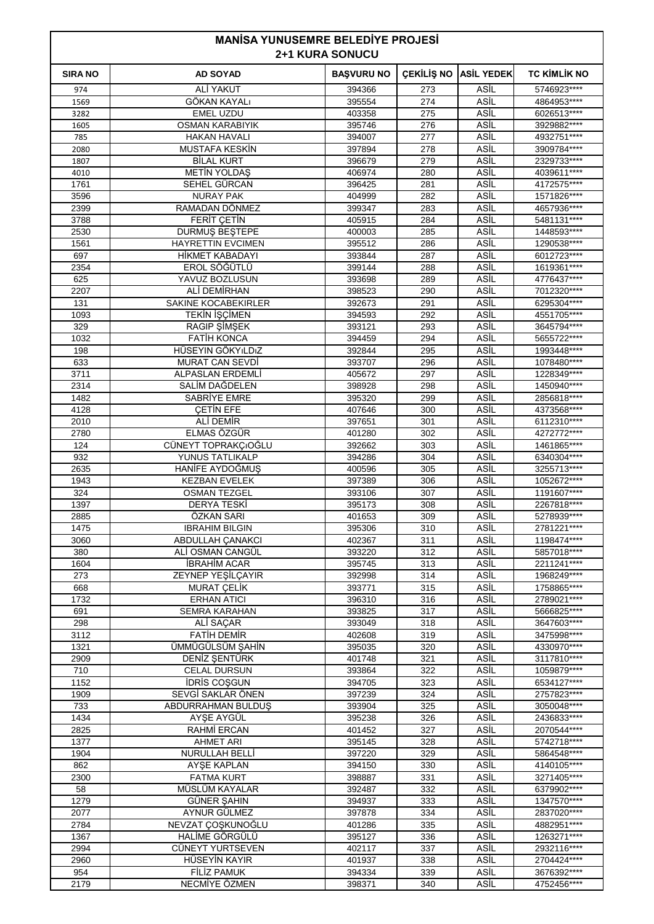| <b>MANISA YUNUSEMRE BELEDIYE PROJESI</b><br><b>2+1 KURA SONUCU</b> |                                              |                   |                   |                            |                            |
|--------------------------------------------------------------------|----------------------------------------------|-------------------|-------------------|----------------------------|----------------------------|
| <b>SIRA NO</b>                                                     | <b>AD SOYAD</b>                              | <b>BAŞVURU NO</b> | <b>CEKİLİS NO</b> | <b>ASIL YEDEK</b>          | <b>TC KİMLİK NO</b>        |
| 974                                                                | <b>ALİ YAKUT</b>                             | 394366            | 273               | ASİL                       | 5746923****                |
| 1569                                                               | GÖKAN KAYALı                                 | 395554            | 274               | ASİL                       | 4864953****                |
| 3282                                                               | <b>EMEL UZDU</b>                             | 403358            | 275               | ASİL                       | 6026513****                |
| 1605                                                               | <b>OSMAN KARABIYIK</b>                       | 395746            | 276               | ASİL                       | 3929882****                |
| 785<br>2080                                                        | <b>HAKAN HAVALI</b><br><b>MUSTAFA KESKIN</b> | 394007<br>397894  | 277<br>278        | <b>ASİL</b><br>ASİL        | 4932751****<br>3909784**** |
| 1807                                                               | <b>BİLAL KURT</b>                            | 396679            | 279               | ASİL                       | 2329733****                |
| 4010                                                               | <b>METIN YOLDAS</b>                          | 406974            | 280               | <b>ASİL</b>                | 4039611****                |
| 1761                                                               | SEHEL GÜRCAN                                 | 396425            | 281               | <b>ASİL</b>                | 4172575****                |
| 3596                                                               | <b>NURAY PAK</b>                             | 404999            | 282               | <b>ASIL</b>                | 1571826****                |
| 2399                                                               | RAMADAN DÖNMEZ                               | 399347            | 283               | <b>ASİL</b>                | 4657936****                |
| 3788                                                               | <b>FERIT CETIN</b>                           | 405915            | 284               | ASİL                       | 5481131****                |
| 2530                                                               | <b>DURMUS BESTEPE</b>                        | 400003            | 285               | <b>ASİL</b><br><b>ASİL</b> | 1448593****                |
| 1561<br>697                                                        | <b>HAYRETTIN EVCIMEN</b><br>HİKMET KABADAYI  | 395512<br>393844  | 286<br>287        | <b>ASİL</b>                | 1290538****<br>6012723**** |
| 2354                                                               | EROL SÖĞÜTLÜ                                 | 399144            | 288               | <b>ASİL</b>                | 1619361****                |
| 625                                                                | YAVUZ BOZLUSUN                               | 393698            | 289               | ASİL                       | 4776437****                |
| 2207                                                               | ALİ DEMİRHAN                                 | 398523            | 290               | ASİL                       | 7012320****                |
| 131                                                                | <b>SAKINE KOCABEKIRLER</b>                   | 392673            | 291               | <b>ASİL</b>                | 6295304****                |
| 1093                                                               | <b>TEKİN İŞÇİMEN</b>                         | 394593            | 292               | <b>ASİL</b>                | 4551705****                |
| 329                                                                | RAGIP ŞİMŞEK                                 | 393121            | 293               | <b>ASIL</b>                | 3645794****                |
| 1032                                                               | <b>FATIH KONCA</b>                           | 394459            | 294               | ASİL                       | 5655722****                |
| 198                                                                | HÜSEYIN GÖKYILDIZ                            | 392844            | 295               | ASİL<br>ASİL               | 1993448****                |
| 633<br>3711                                                        | <b>MURAT CAN SEVDI</b><br>ALPASLAN ERDEMLİ   | 393707<br>405672  | 296<br>297        | <b>ASİL</b>                | 1078480****<br>1228349**** |
| 2314                                                               | SALIM DAĞDELEN                               | 398928            | 298               | <b>ASIL</b>                | 1450940****                |
| 1482                                                               | SABRIYE EMRE                                 | 395320            | 299               | ASİL                       | 2856818****                |
| 4128                                                               | <b>CETIN EFE</b>                             | 407646            | 300               | ASİL                       | 4373568****                |
| 2010                                                               | ALI DEMIR                                    | 397651            | 301               | ASİL                       | 6112310****                |
| 2780                                                               | ELMAS ÖZGÜR                                  | 401280            | 302               | <b>ASIL</b>                | 4272772****                |
| 124                                                                | CÜNEYT TOPRAKÇIOĞLU                          | 392662            | 303               | <b>ASİL</b>                | 1461865****                |
| 932                                                                | YUNUS TATLIKALP                              | 394286            | 304               | ASİL                       | 6340304****                |
| 2635                                                               | HANIFE AYDOĞMUŞ                              | 400596            | 305               | <b>ASİL</b><br>ASİL        | 3255713****                |
| 1943<br>324                                                        | <b>KEZBAN EVELEK</b><br><b>OSMAN TEZGEL</b>  | 397389<br>393106  | 306<br>307        | ASİL                       | 1052672****<br>1191607**** |
| 1397                                                               | <b>DERYA TESKİ</b>                           | 395173            | 308               | <b>ASİL</b>                | 2267818****                |
| 2885                                                               | ÖZKAN SARI                                   | 401653            | 309               | ASİL                       | 5278939 ****               |
| 1475                                                               | IBRAHIM BILGIN                               | 395306            | 310               | ASIL                       | 2781221****                |
| 3060                                                               | <b>ABDULLAH ÇANAKCI</b>                      | 402367            | 311               | ASİL                       | 1198474****                |
| 380                                                                | ALİ OSMAN CANGÜL                             | 393220            | 312               | ASİL                       | 5857018****                |
| 1604                                                               | <b>İBRAHİM ACAR</b>                          | 395745            | 313               | <b>ASİL</b>                | 2211241****                |
| 273                                                                | ZEYNEP YEŞİLÇAYIR                            | 392998            | 314               | ASİL                       | 1968249****                |
| 668<br>1732                                                        | <b>MURAT ÇELİK</b><br><b>ERHAN ATICI</b>     | 393771<br>396310  | 315<br>316        | <b>ASIL</b><br>ASİL        | 1758865****<br>2789021**** |
| 691                                                                | <b>SEMRA KARAHAN</b>                         | 393825            | 317               | ASİL                       | 5666825****                |
| 298                                                                | ALİ SAÇAR                                    | 393049            | 318               | <b>ASİL</b>                | 3647603****                |
| 3112                                                               | <b>FATIH DEMIR</b>                           | 402608            | 319               | <b>ASİL</b>                | 3475998****                |
| 1321                                                               | ÜMMÜGÜLSÜM ŞAHİN                             | 395035            | 320               | <b>ASİL</b>                | 4330970****                |
| 2909                                                               | DENİZ ŞENTÜRK                                | 401748            | 321               | ASİL                       | 3117810****                |
| 710                                                                | <b>CELAL DURSUN</b>                          | 393864            | 322               | <b>ASIL</b>                | 1059879****                |
| 1152<br>1909                                                       | <b>IDRIS COŞGUN</b><br>SEVGİ SAKLAR ÖNEN     | 394705<br>397239  | 323<br>324        | <b>ASİL</b><br>ASİL        | 6534127****<br>2757823**** |
| 733                                                                | ABDURRAHMAN BULDUŞ                           | 393904            | 325               | ASİL                       | 3050048****                |
| 1434                                                               | AYŞE AYGÜL                                   | 395238            | 326               | ASİL                       | 2436833****                |
| 2825                                                               | RAHMİ ERCAN                                  | 401452            | 327               | <b>ASIL</b>                | 2070544****                |
| 1377                                                               | <b>AHMET ARI</b>                             | 395145            | 328               | <b>ASİL</b>                | 5742718****                |
| 1904                                                               | <b>NURULLAH BELLİ</b>                        | 397220            | 329               | <b>ASİL</b>                | 5864548****                |
| 862                                                                | <b>AYSE KAPLAN</b>                           | 394150            | 330               | ASİL                       | 4140105****                |
| 2300                                                               | <b>FATMA KURT</b>                            | 398887            | 331               | ASİL                       | 3271405****                |
| 58<br>1279                                                         | MÜSLÜM KAYALAR                               | 392487            | 332<br>333        | ASİL<br><b>ASİL</b>        | 6379902****                |
| 2077                                                               | GÜNER ŞAHIN<br>AYNUR GÜLMEZ                  | 394937<br>397878  | 334               | <b>ASİL</b>                | 1347570****<br>2837020**** |
| 2784                                                               | NEVZAT ÇOŞKUNOĞLU                            | 401286            | 335               | <b>ASIL</b>                | 4882951 ****               |
| 1367                                                               | HALİME GÖRGÜLÜ                               | 395127            | 336               | ASİL                       | 1263271****                |
| 2994                                                               | CÜNEYT YURTSEVEN                             | 402117            | 337               | ASİL                       | 2932116****                |
| 2960                                                               | HÜSEYİN KAYIR                                | 401937            | 338               | <b>ASİL</b>                | 2704424 ****               |
| 954                                                                | <b>FİLİZ PAMUK</b>                           | 394334            | 339               | ASİL                       | 3676392****                |
| 2179                                                               | NECMİYE ÖZMEN                                | 398371            | 340               | ASİL                       | 4752456****                |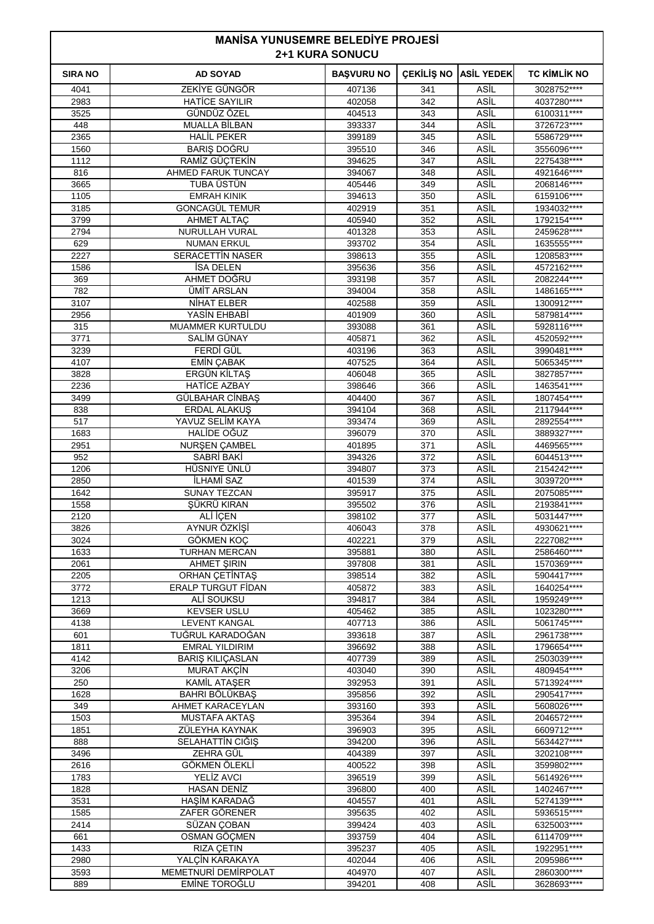| <b>MANISA YUNUSEMRE BELEDIYE PROJESI</b><br><b>2+1 KURA SONUCU</b> |                                              |                   |                   |                     |                            |
|--------------------------------------------------------------------|----------------------------------------------|-------------------|-------------------|---------------------|----------------------------|
| <b>SIRA NO</b>                                                     | <b>AD SOYAD</b>                              | <b>BAŞVURU NO</b> | <b>CEKİLİŞ NO</b> | <b>ASİL YEDEK</b>   | <b>TC KİMLİK NO</b>        |
| 4041                                                               | ZEKİYE GÜNGÖR                                | 407136            | 341               | ASİL                | 3028752****                |
| 2983                                                               | <b>HATICE SAYILIR</b>                        | 402058            | 342               | ASİL                | 4037280****                |
| 3525                                                               | GÜNDÜZ ÖZEL                                  | 404513            | 343               | ASİL                | 6100311 ****               |
| 448                                                                | <b>MUALLA BİLBAN</b>                         | 393337            | 344               | ASİL                | 3726723****                |
| 2365                                                               | <b>HALIL PEKER</b>                           | 399189            | 345               | ASİL                | 5586729 ****               |
| 1560<br>1112                                                       | BARIŞ DOĞRU<br>RAMİZ GÜÇTEKİN                | 395510<br>394625  | 346<br>347        | ASİL<br>ASİL        | 3556096****<br>2275438**** |
| 816                                                                | AHMED FARUK TUNCAY                           | 394067            | 348               | ASİL                | 4921646****                |
| 3665                                                               | TUBA ÜSTÜN                                   | 405446            | 349               | ASİL                | 2068146****                |
| 1105                                                               | <b>EMRAH KINIK</b>                           | 394613            | 350               | ASİL                | 6159106****                |
| 3185                                                               | <b>GONCAGÜL TEMUR</b>                        | 402919            | 351               | ASİL                | 1934032****                |
| 3799                                                               | <b>AHMET ALTAC</b>                           | 405940            | 352               | ASİL                | 1792154****                |
| 2794                                                               | NURULLAH VURAL                               | 401328            | 353               | ASİL                | 2459628****                |
| 629                                                                | <b>NUMAN ERKUL</b>                           | 393702            | 354               | ASİL                | 1635555****                |
| 2227                                                               | <b>SERACETTIN NASER</b>                      | 398613            | 355               | ASİL                | 1208583****                |
| 1586                                                               | <b>İSA DELEN</b>                             | 395636            | 356               | ASİL                | 4572162****                |
| 369<br>782                                                         | AHMET DOĞRU<br>ÜMİT ARSLAN                   | 393198<br>394004  | 357<br>358        | ASİL<br>ASİL        | 2082244****<br>1486165**** |
| 3107                                                               | NIHAT ELBER                                  | 402588            | 359               | ASİL                | 1300912****                |
| 2956                                                               | YASİN EHBABİ                                 | 401909            | 360               | ASİL                | 5879814****                |
| 315                                                                | <b>MUAMMER KURTULDU</b>                      | 393088            | 361               | ASİL                | 5928116****                |
| 3771                                                               | SALİM GÜNAY                                  | 405871            | 362               | ASİL                | 4520592****                |
| 3239                                                               | FERDİ GÜL                                    | 403196            | 363               | ASİL                | 3990481****                |
| 4107                                                               | EMİN ÇABAK                                   | 407525            | 364               | ASİL                | 5065345****                |
| 3828                                                               | ERGÜN KİLTAŞ                                 | 406048            | 365               | ASİL                | 3827857****                |
| 2236                                                               | <b>HATICE AZBAY</b>                          | 398646            | 366               | ASİL                | 1463541****                |
| 3499                                                               | GÜLBAHAR CİNBAŞ                              | 404400            | 367               | ASİL                | 1807454****                |
| 838                                                                | ERDAL ALAKUŞ                                 | 394104            | 368               | ASİL                | 2117944****                |
| 517<br>1683                                                        | YAVUZ SELİM KAYA<br>HALİDE OĞUZ              | 393474<br>396079  | 369<br>370        | ASİL<br>ASİL        | 2892554****<br>3889327**** |
| 2951                                                               | <b>NURŞEN ÇAMBEL</b>                         | 401895            | 371               | ASİL                | 4469565****                |
| 952                                                                | SABRİ BAKİ                                   | 394326            | 372               | ASİL                | 6044513****                |
| 1206                                                               | HÜSNIYE ÜNLÜ                                 | 394807            | 373               | ASİL                | 2154242****                |
| 2850                                                               | İLHAMİ SAZ                                   | 401539            | 374               | ASİL                | 3039720****                |
| 1642                                                               | <b>SUNAY TEZCAN</b>                          | 395917            | 375               | ASİL                | 2075085****                |
| 1558                                                               | SÜKRÜ KIRAN                                  | 395502            | 376               | ASİL                | 2193841****                |
| 2120                                                               | ALİ İÇEN                                     | 398102            | 377               | ASİL                | 5031447****                |
| 3826                                                               | AYNUR ÖZKIŞI                                 | 406043            | 378               | <b>ASİL</b>         | 4930621 ****               |
| 3024                                                               | <b>GÖKMEN KOC</b>                            | 402221            | 379               | ASİL                | 2227082****                |
| 1633<br>2061                                                       | <b>TURHAN MERCAN</b><br><b>AHMET ŞIRIN</b>   | 395881<br>397808  | 380<br>381        | <b>ASIL</b><br>ASİL | 2586460****<br>1570369**** |
| 2205                                                               | ORHAN ÇETİNTAŞ                               | 398514            | 382               | ASİL                | 5904417****                |
| 3772                                                               | <b>ERALP TURGUT FİDAN</b>                    | 405872            | 383               | ASİL                | 1640254****                |
| 1213                                                               | ALİ SOUKSU                                   | 394817            | 384               | ASİL                | 1959249****                |
| 3669                                                               | <b>KEVSER USLU</b>                           | 405462            | 385               | <b>ASIL</b>         | 1023280****                |
| 4138                                                               | <b>LEVENT KANGAL</b>                         | 407713            | 386               | <b>ASIL</b>         | 5061745****                |
| 601                                                                | TUĞRUL KARADOĞAN                             | 393618            | 387               | ASİL                | 2961738****                |
| 1811                                                               | <b>EMRAL YILDIRIM</b>                        | 396692            | 388               | ASİL                | 1796654****                |
| 4142                                                               | <b>BARIŞ KILIÇASLAN</b>                      | 407739            | 389               | ASİL                | 2503039****                |
| 3206                                                               | MURAT AKÇİN                                  | 403040            | 390               | <b>ASIL</b>         | 4809454 ****               |
| 250<br>1628                                                        | <b>KAMİL ATAŞER</b><br><b>BAHRI BÖLÜKBAŞ</b> | 392953<br>395856  | 391<br>392        | ASİL<br><b>ASIL</b> | 5713924****<br>2905417**** |
| 349                                                                | AHMET KARACEYLAN                             | 393160            | 393               | ASİL                | 5608026****                |
| 1503                                                               | <b>MUSTAFA AKTAS</b>                         | 395364            | 394               | ASİL                | 2046572****                |
| 1851                                                               | ZÜLEYHA KAYNAK                               | 396903            | 395               | <b>ASIL</b>         | 6609712****                |
| 888                                                                | SELAHATTİN CIĞIS                             | 394200            | 396               | <b>ASIL</b>         | 5634427****                |
| 3496                                                               | <b>ZEHRA GÜL</b>                             | 404389            | 397               | <b>ASIL</b>         | 3202108****                |
| 2616                                                               | GÖKMEN ÖLEKLİ                                | 400522            | 398               | ASİL                | 3599802****                |
| 1783                                                               | YELİZ AVCI                                   | 396519            | 399               | ASİL                | 5614926****                |
| 1828                                                               | <b>HASAN DENİZ</b>                           | 396800            | 400               | <b>ASIL</b>         | 1402467****                |
| 3531                                                               | HASİM KARADAĞ                                | 404557            | 401               | ASİL                | 5274139****                |
| 1585<br>2414                                                       | ZAFER GÖRENER<br>SÜZAN COBAN                 | 395635<br>399424  | 402<br>403        | <b>ASIL</b><br>ASİL | 5936515****<br>6325003**** |
| 661                                                                | OSMAN GÖÇMEN                                 | 393759            | 404               | ASİL                | 6114709****                |
| 1433                                                               | RIZA ÇETIN                                   | 395237            | 405               | <b>ASIL</b>         | 1922951****                |
| 2980                                                               | YALCİN KARAKAYA                              | 402044            | 406               | <b>ASIL</b>         | 2095986****                |
| 3593                                                               | MEMETNURİ DEMİRPOLAT                         | 404970            | 407               | ASİL                | 2860300****                |
| 889                                                                | EMINE TOROĞLU                                | 394201            | 408               | ASİL                | 3628693****                |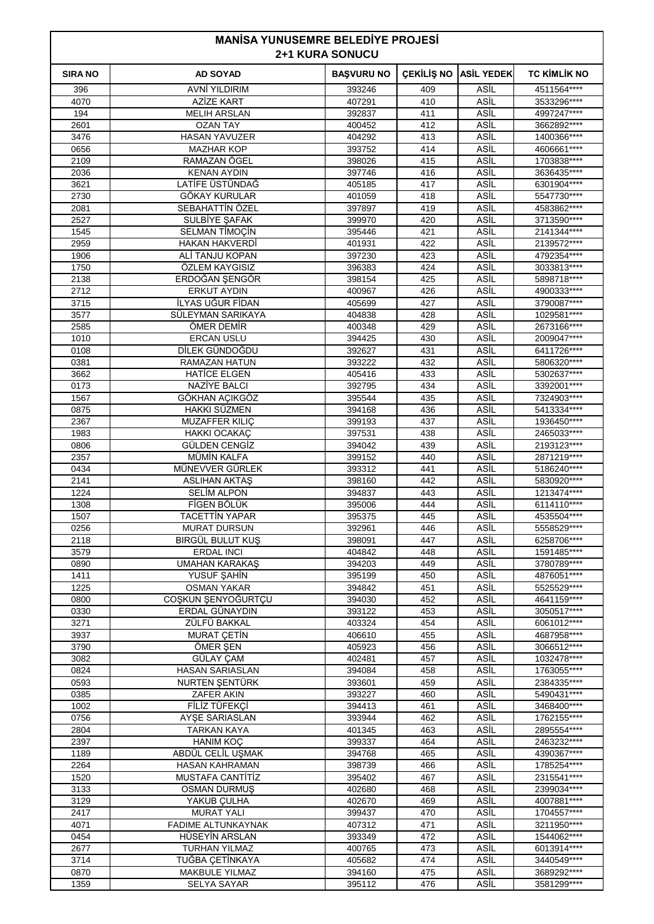| <b>MANISA YUNUSEMRE BELEDIYE PROJESI</b><br><b>2+1 KURA SONUCU</b> |                                        |                   |            |                            |                             |
|--------------------------------------------------------------------|----------------------------------------|-------------------|------------|----------------------------|-----------------------------|
| <b>SIRA NO</b>                                                     | <b>AD SOYAD</b>                        | <b>BAŞVURU NO</b> | ÇEKİLİŞ NO | <b>ASİL YEDEK</b>          | <b>TC KİMLİK NO</b>         |
| 396                                                                | <b>AVNİ YILDIRIM</b>                   | 393246            | 409        | ASİL                       | 4511564****                 |
| 4070                                                               | <b>AZİZE KART</b>                      | 407291            | 410        | ASİL                       | 3533296****                 |
| 194<br>2601                                                        | <b>MELIH ARSLAN</b><br><b>OZAN TAY</b> | 392837<br>400452  | 411<br>412 | ASIL<br>ASİL               | 4997247****<br>3662892****  |
| 3476                                                               | <b>HASAN YAVUZER</b>                   | 404292            | 413        | ASİL                       | 1400366****                 |
| 0656                                                               | <b>MAZHAR KOP</b>                      | 393752            | 414        | <b>ASİL</b>                | 4606661****                 |
| 2109                                                               | RAMAZAN ÖGEL                           | 398026            | 415        | ASİL                       | 1703838 ****                |
| 2036                                                               | <b>KENAN AYDIN</b>                     | 397746            | 416        | ASİL                       | 3636435****                 |
| 3621                                                               | LATİFE ÜSTÜNDAĞ                        | 405185            | 417        | ASİL                       | 6301904****                 |
| 2730                                                               | GÖKAY KURULAR                          | 401059            | 418        | ASİL                       | 5547730****                 |
| 2081<br>2527                                                       | SEBAHATTİN ÖZEL<br>SULBİYE ŞAFAK       | 397897<br>399970  | 419<br>420 | <b>ASİL</b><br>ASİL        | 4583862****<br>3713590****  |
| 1545                                                               | <b>SELMAN TIMOÇIN</b>                  | 395446            | 421        | ASİL                       | 2141344****                 |
| 2959                                                               | HAKAN HAKVERDİ                         | 401931            | 422        | ASİL                       | 2139572****                 |
| 1906                                                               | ALİ TANJU KOPAN                        | 397230            | 423        | ASİL                       | 4792354 ****                |
| 1750                                                               | ÖZLEM KAYGISIZ                         | 396383            | 424        | <b>ASİL</b>                | 3033813 ****                |
| 2138                                                               | ERDOĞAN SENGÖR                         | 398154            | 425        | ASİL                       | 5898718****                 |
| 2712                                                               | <b>ERKUT AYDIN</b>                     | 400967            | 426        | ASİL                       | 4900333****                 |
| 3715<br>3577                                                       | İLYAS UĞUR FİDAN<br>SÜLEYMAN SARIKAYA  | 405699<br>404838  | 427<br>428 | ASİL<br>ASİL               | 3790087****<br>1029581****  |
| 2585                                                               | ÖMER DEMIR                             | 400348            | 429        | <b>ASİL</b>                | 2673166****                 |
| 1010                                                               | <b>ERCAN USLU</b>                      | 394425            | 430        | ASİL                       | 2009047****                 |
| 0108                                                               | DİLEK GÜNDOĞDU                         | 392627            | 431        | ASİL                       | 6411726****                 |
| 0381                                                               | <b>RAMAZAN HATUN</b>                   | 393222            | 432        | ASİL                       | 5806320****                 |
| 3662                                                               | <b>HATICE ELGEN</b>                    | 405416            | 433        | ASİL                       | 5302637****                 |
| 0173                                                               | <b>NAZİYE BALCI</b>                    | 392795            | 434        | ASİL                       | 3392001****                 |
| 1567                                                               | GÖKHAN ACIKGÖZ                         | 395544            | 435        | ASİL                       | 7324903****                 |
| 0875<br>2367                                                       | HAKKI SÜZMEN<br><b>MUZAFFER KILIC</b>  | 394168<br>399193  | 436<br>437 | ASİL<br>ASİL               | 5413334 ****<br>1936450**** |
| 1983                                                               | <b>HAKKI OCAKAC</b>                    | 397531            | 438        | ASİL                       | 2465033****                 |
| 0806                                                               | GÜLDEN CENGİZ                          | 394042            | 439        | <b>ASİL</b>                | 2193123****                 |
| 2357                                                               | MÜMİN KALFA                            | 399152            | 440        | ASİL                       | 2871219****                 |
| 0434                                                               | MÜNEVVER GÜRLEK                        | 393312            | 441        | ASİL                       | 5186240****                 |
| 2141                                                               | <b>ASLIHAN AKTAS</b>                   | 398160            | 442        | ASİL                       | 5830920****                 |
| 1224                                                               | <b>SELIM ALPON</b>                     | 394837            | 443        | ASİL                       | 1213474****                 |
| 1308<br>1507                                                       | FİGEN BÖLÜK<br><b>TACETTIN YAPAR</b>   | 395006<br>395375  | 444<br>445 | ASİL<br>ASİL               | 6114110****<br>4535504****  |
| 0256                                                               | <b>MURAT DURSUN</b>                    | 392961            | 446        | ASİL                       | 5558529****                 |
| 2118                                                               | BIRGÜL BULUT KUŞ                       | 398091            | 447        | <b>ASIL</b>                | 6258706****                 |
| 3579                                                               | <b>ERDAL INCI</b>                      | 404842            | 448        | <b>ASIL</b>                | 1591485****                 |
| 0890                                                               | <b>UMAHAN KARAKAŞ</b>                  | 394203            | 449        | ASİL                       | 3780789****                 |
| 1411                                                               | YUSUF ŞAHİN                            | 395199            | 450        | ASİL                       | 4876051****                 |
| 1225                                                               | <b>OSMAN YAKAR</b>                     | 394842            | 451        | ASİL                       | 5525529 ****                |
| 0800<br>0330                                                       | COŞKUN ŞENYOĞURTÇU<br>ERDAL GÜNAYDIN   | 394030            | 452<br>453 | <b>ASIL</b><br><b>ASIL</b> | 4641159****<br>3050517****  |
| 3271                                                               | ZÜLFÜ BAKKAL                           | 393122<br>403324  | 454        | <b>ASIL</b>                | 6061012****                 |
| 3937                                                               | <b>MURAT CETIN</b>                     | 406610            | 455        | ASİL                       | 4687958****                 |
| 3790                                                               | ÖMER ŞEN                               | 405923            | 456        | ASİL                       | 3066512****                 |
| 3082                                                               | GÜLAY ÇAM                              | 402481            | 457        | <b>ASIL</b>                | 1032478****                 |
| 0824                                                               | HASAN SARIASLAN                        | 394084            | 458        | ASİL                       | 1763055****                 |
| 0593                                                               | NURTEN ŞENTÜRK                         | 393601            | 459        | ASİL                       | 2384335****                 |
| 0385                                                               | ZAFER AKIN                             | 393227            | 460        | ASİL<br>ASİL               | 5490431 ****                |
| 1002<br>0756                                                       | FİLİZ TÜFEKÇİ<br>AYSE SARIASLAN        | 394413<br>393944  | 461<br>462 | <b>ASIL</b>                | 3468400****<br>1762155****  |
| 2804                                                               | <b>TARKAN KAYA</b>                     | 401345            | 463        | <b>ASIL</b>                | 2895554 ****                |
| 2397                                                               | <b>HANIM KOC</b>                       | 399337            | 464        | ASİL                       | 2463232****                 |
| 1189                                                               | ABDÜL CELİL UŞMAK                      | 394768            | 465        | ASİL                       | 4390367****                 |
| 2264                                                               | HASAN KAHRAMAN                         | 398739            | 466        | ASİL                       | 1785254 ****                |
| 1520                                                               | MUSTAFA CANTITIZ                       | 395402            | 467        | <b>ASIL</b>                | 2315541****                 |
| 3133                                                               | <b>OSMAN DURMUŞ</b>                    | 402680            | 468        | ASİL                       | 2399034****                 |
| 3129<br>2417                                                       | YAKUB ÇULHA<br><b>MURAT YALI</b>       | 402670<br>399437  | 469<br>470 | ASİL<br>ASİL               | 4007881****<br>1704557****  |
| 4071                                                               | <b>FADIME ALTUNKAYNAK</b>              | 407312            | 471        | ASİL                       | 3211950****                 |
| 0454                                                               | HÜSEYİN ARSLAN                         | 393349            | 472        | <b>ASIL</b>                | 1544062****                 |
| 2677                                                               | <b>TURHAN YILMAZ</b>                   | 400765            | 473        | <b>ASIL</b>                | 6013914 ****                |
| 3714                                                               | TUĞBA CETİNKAYA                        | 405682            | 474        | ASİL                       | 3440549****                 |
| 0870                                                               | <b>MAKBULE YILMAZ</b>                  | 394160            | 475        | ASİL                       | 3689292****                 |
| 1359                                                               | <b>SELYA SAYAR</b>                     | 395112            | 476        | ASİL                       | 3581299****                 |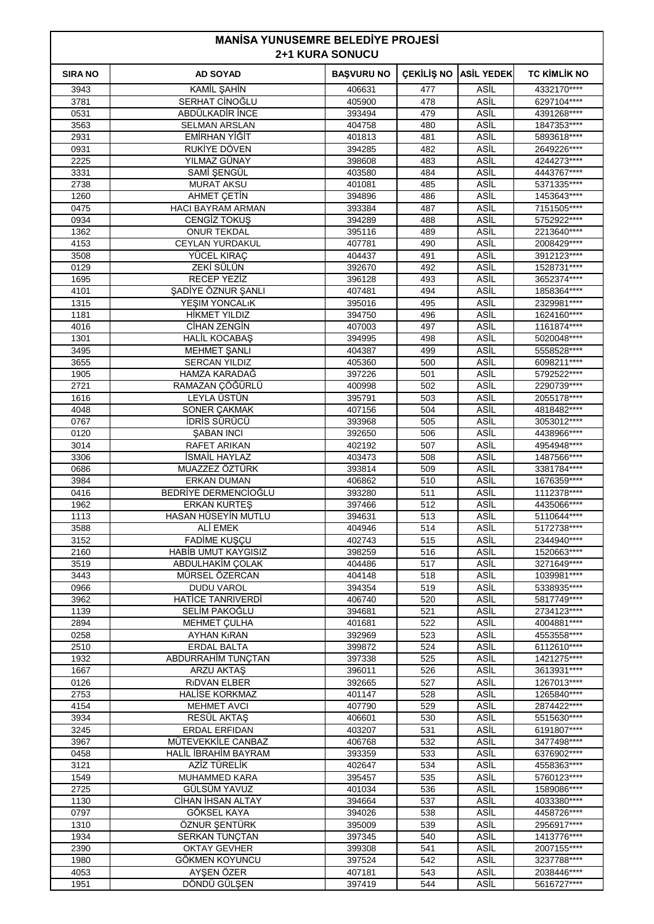| <b>MANISA YUNUSEMRE BELEDIYE PROJESI</b><br><b>2+1 KURA SONUCU</b> |                                                 |                   |            |                     |                            |
|--------------------------------------------------------------------|-------------------------------------------------|-------------------|------------|---------------------|----------------------------|
| <b>SIRA NO</b>                                                     | <b>AD SOYAD</b>                                 | <b>BAŞVURU NO</b> | ÇEKİLİŞ NO | <b>ASİL YEDEK</b>   | <b>TC KİMLİK NO</b>        |
| 3943                                                               | KAMİL ŞAHİN                                     | 406631            | 477        | ASİL                | 4332170****                |
| 3781                                                               | SERHAT CINOĞLU                                  | 405900            | 478        | ASİL                | 6297104****                |
| 0531                                                               | ABDÜLKADİR İNCE                                 | 393494            | 479        | ASİL                | 4391268****                |
| 3563<br>2931                                                       | <b>SELMAN ARSLAN</b><br>EMİRHAN YİĞİT           | 404758<br>401813  | 480<br>481 | ASİL<br><b>ASİL</b> | 1847353****<br>5893618**** |
| 0931                                                               | RUKİYE DÖVEN                                    | 394285            | 482        | <b>ASİL</b>         | 2649226****                |
| 2225                                                               | YILMAZ GÜNAY                                    | 398608            | 483        | ASİL                | 4244273****                |
| 3331                                                               | SAMİ ŞENGÜL                                     | 403580            | 484        | ASİL                | 4443767****                |
| 2738                                                               | <b>MURAT AKSU</b>                               | 401081            | 485        | ASİL                | 5371335****                |
| 1260                                                               | <b>AHMET CETIN</b>                              | 394896            | 486        | <b>ASİL</b>         | 1453643****                |
| 0475                                                               | <b>HACI BAYRAM ARMAN</b><br><b>CENGIZ TOKUS</b> | 393384            | 487<br>488 | <b>ASİL</b><br>ASİL | 7151505****                |
| 0934<br>1362                                                       | <b>ONUR TEKDAL</b>                              | 394289<br>395116  | 489        | ASİL                | 5752922****<br>2213640**** |
| 4153                                                               | <b>CEYLAN YURDAKUL</b>                          | 407781            | 490        | ASİL                | 2008429 ****               |
| 3508                                                               | YÜCEL KIRAÇ                                     | 404437            | 491        | <b>ASİL</b>         | 3912123****                |
| 0129                                                               | ZEKÎ SÜLÜN                                      | 392670            | 492        | ASİL                | 1528731****                |
| 1695                                                               | RECEP YEZİZ                                     | 396128            | 493        | ASİL                | 3652374****                |
| 4101                                                               | ŞADİYE ÖZNUR ŞANLI                              | 407481            | 494        | ASİL                | 1858364****                |
| 1315                                                               | YEŞIM YONCALıK                                  | 395016            | 495        | ASİL                | 2329981****                |
| 1181<br>4016                                                       | <b>HİKMET YILDIZ</b><br>CIHAN ZENGIN            | 394750<br>407003  | 496<br>497 | <b>ASİL</b><br>ASİL | 1624160****<br>1161874**** |
| 1301                                                               | <b>HALIL KOCABAŞ</b>                            | 394995            | 498        | ASİL                | 5020048****                |
| 3495                                                               | MEHMET ŞANLI                                    | 404387            | 499        | ASİL                | 5558528****                |
| 3655                                                               | <b>SERCAN YILDIZ</b>                            | 405360            | 500        | ASİL                | 6098211****                |
| 1905                                                               | HAMZA KARADAĞ                                   | 397226            | 501        | ASİL                | 5792522****                |
| 2721                                                               | RAMAZAN ÇÖĞÜRLÜ                                 | 400998            | 502        | ASİL                | 2290739****                |
| 1616                                                               | LEYLA ÜSTÜN                                     | 395791            | 503        | ASİL                | 2055178****                |
| 4048                                                               | SONER ÇAKMAK<br><b>IDRIS SÜRÜCÜ</b>             | 407156            | 504        | ASİL<br>ASİL        | 4818482****                |
| 0767<br>0120                                                       | <b><i>ŞABAN INCI</i></b>                        | 393968<br>392650  | 505<br>506 | ASİL                | 3053012****<br>4438966**** |
| 3014                                                               | <b>RAFET ARIKAN</b>                             | 402192            | 507        | ASİL                | 4954948****                |
| 3306                                                               | <b>ISMAIL HAYLAZ</b>                            | 403473            | 508        | ASİL                | 1487566****                |
| 0686                                                               | MUAZZEZ ÖZTÜRK                                  | 393814            | 509        | ASİL                | 3381784****                |
| 3984                                                               | <b>ERKAN DUMAN</b>                              | 406862            | 510        | ASİL                | 1676359****                |
| 0416                                                               | BEDRİYE DERMENCİOĞLU                            | 393280            | 511        | ASİL                | 1112378****                |
| 1962                                                               | <b>ERKAN KURTES</b><br>HASAN HÜSEYİN MUTLU      | 397466            | 512        | ASİL<br>ASİL        | 4435066****                |
| 1113<br>3588                                                       | ALİ EMEK                                        | 394631<br>404946  | 513<br>514 | ASİL                | 5110644****<br>5172738**** |
| 3152                                                               | <b>FADIME KUŞÇU</b>                             | 402743            | 515        | ASİL                | 2344940****                |
| 2160                                                               | <b>HABİB UMUT KAYGISIZ</b>                      | 398259            | 516        | ASİL                | 1520663****                |
| 3519                                                               | ABDULHAKİM ÇOLAK                                | 404486            | 517        | ASİL                | 3271649****                |
| 3443                                                               | MÜRSEL ÖZERCAN                                  | 404148            | 518        | ASİL                | 1039981 ****               |
| 0966                                                               | <b>DUDU VAROL</b>                               | 394354            | 519        | ASİL                | 5338935****                |
| 3962                                                               | HATICE TANRIVERDI                               | 406740            | 520        | <b>ASIL</b>         | 5817749****                |
| 1139<br>2894                                                       | SELİM PAKOĞLU<br><b>MEHMET CULHA</b>            | 394681<br>401681  | 521<br>522 | ASİL<br><b>ASIL</b> | 2734123****<br>4004881**** |
| 0258                                                               | <b>AYHAN KIRAN</b>                              | 392969            | 523        | ASİL                | 4553558****                |
| 2510                                                               | <b>ERDAL BALTA</b>                              | 399872            | 524        | ASİL                | 6112610****                |
| 1932                                                               | ABDURRAHİM TUNÇTAN                              | 397338            | 525        | <b>ASIL</b>         | 1421275****                |
| 1667                                                               | ARZU AKTAŞ                                      | 396011            | 526        | ASİL                | 3613931****                |
| 0126                                                               | <b>RIDVAN ELBER</b>                             | 392665            | 527        | <b>ASIL</b>         | 1267013****                |
| 2753                                                               | <b>HALISE KORKMAZ</b>                           | 401147            | 528        | ASİL                | 1265840****                |
| 4154                                                               | <b>MEHMET AVCI</b>                              | 407790            | 529        | ASİL<br><b>ASIL</b> | 2874422****                |
| 3934<br>3245                                                       | RESÜL AKTAŞ<br>ERDAL ERFIDAN                    | 406601<br>403207  | 530<br>531 | ASİL                | 5515630****<br>6191807**** |
| 3967                                                               | MÜTEVEKKİLE CANBAZ                              | 406768            | 532        | <b>ASIL</b>         | 3477498****                |
| 0458                                                               | HALİL İBRAHİM BAYRAM                            | 393359            | 533        | ASİL                | 6376902****                |
| 3121                                                               | AZİZ TÜRELİK                                    | 402647            | 534        | ASİL                | 4558363****                |
| 1549                                                               | <b>MUHAMMED KARA</b>                            | 395457            | 535        | ASİL                | 5760123****                |
| 2725                                                               | GÜLSÜM YAVUZ                                    | 401034            | 536        | ASİL                | 1589086****                |
| 1130                                                               | CİHAN İHSAN ALTAY                               | 394664            | 537        | ASİL                | 4033380****                |
| 0797<br>1310                                                       | GÖKSEL KAYA                                     | 394026<br>395009  | 538<br>539 | ASİL<br>ASİL        | 4458726****<br>2956917**** |
| 1934                                                               | ÖZNUR ŞENTÜRK<br>SERKAN TUNÇTAN                 | 397345            | 540        | ASİL                | 1413776****                |
| 2390                                                               | <b>OKTAY GEVHER</b>                             | 399308            | 541        | ASİL                | 2007155****                |
| 1980                                                               | GÖKMEN KOYUNCU                                  | 397524            | 542        | <b>ASIL</b>         | 3237788****                |
| 4053                                                               | AYŞEN ÖZER                                      | 407181            | 543        | ASİL                | 2038446****                |
| 1951                                                               | DÖNDÜ GÜLŞEN                                    | 397419            | 544        | ASİL                | 5616727****                |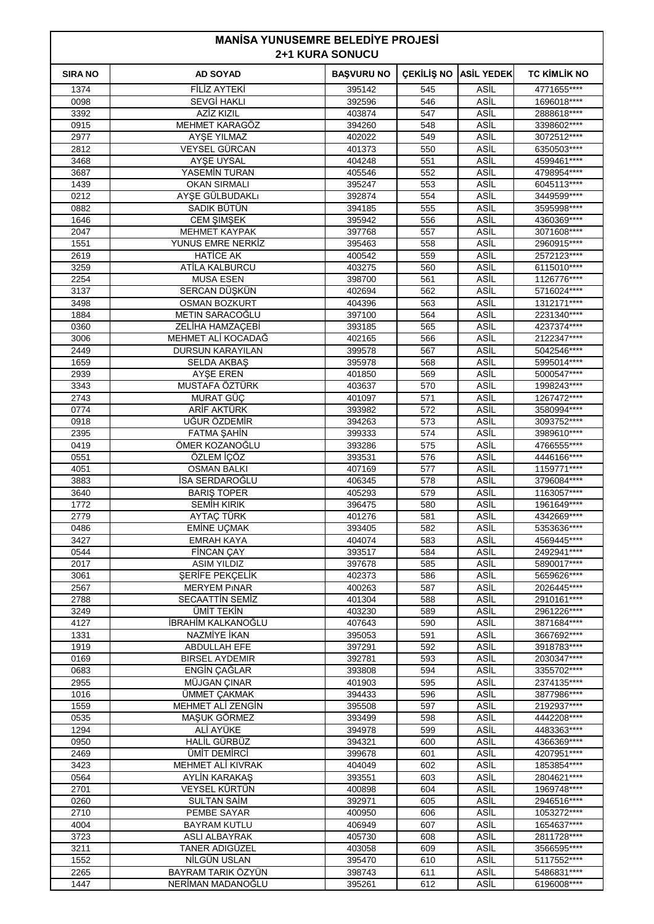| <b>MANISA YUNUSEMRE BELEDIYE PROJESI</b><br><b>2+1 KURA SONUCU</b> |                                      |                   |            |                     |                             |
|--------------------------------------------------------------------|--------------------------------------|-------------------|------------|---------------------|-----------------------------|
| <b>SIRA NO</b>                                                     | <b>AD SOYAD</b>                      | <b>BAŞVURU NO</b> | ÇEKİLİŞ NO | <b>ASİL YEDEK</b>   | <b>TC KİMLİK NO</b>         |
| 1374                                                               | <b>FİLİZ AYTEKİ</b>                  | 395142            | 545        | ASİL                | 4771655****                 |
| 0098                                                               | <b>SEVGİ HAKLI</b>                   | 392596            | 546        | ASİL                | 1696018****                 |
| 3392                                                               | AZİZ KIZIL                           | 403874            | 547        | ASİL                | 2888618****                 |
| 0915<br>2977                                                       | <b>MEHMET KARAGÖZ</b><br>AYŞE YILMAZ | 394260<br>402022  | 548<br>549 | ASİL<br><b>ASİL</b> | 3398602****<br>3072512****  |
| 2812                                                               | VEYSEL GÜRCAN                        | 401373            | 550        | <b>ASİL</b>         | 6350503****                 |
| 3468                                                               | AYSE UYSAL                           | 404248            | 551        | ASİL                | 4599461****                 |
| 3687                                                               | YASEMİN TURAN                        | 405546            | 552        | ASİL                | 4798954 ****                |
| 1439                                                               | <b>OKAN SIRMALI</b>                  | 395247            | 553        | ASİL                | 6045113****                 |
| 0212                                                               | AYŞE GÜLBUDAKLI                      | 392874            | 554        | <b>ASİL</b>         | 3449599****                 |
| 0882<br>1646                                                       | SADIK BÜTÜN                          | 394185<br>395942  | 555<br>556 | <b>ASİL</b><br>ASİL | 3595998 ****<br>4360369**** |
| 2047                                                               | CEM ŞIMŞEK<br><b>MEHMET KAYPAK</b>   | 397768            | 557        | ASİL                | 3071608****                 |
| 1551                                                               | YUNUS EMRE NERKİZ                    | 395463            | 558        | ASİL                | 2960915****                 |
| 2619                                                               | <b>HATICE AK</b>                     | 400542            | 559        | <b>ASİL</b>         | 2572123****                 |
| 3259                                                               | ATILA KALBURCU                       | 403275            | 560        | <b>ASİL</b>         | 6115010****                 |
| 2254                                                               | <b>MUSA ESEN</b>                     | 398700            | 561        | ASİL                | 1126776****                 |
| 3137                                                               | SERCAN DÜŞKÜN                        | 402694            | 562        | ASİL                | 5716024****                 |
| 3498                                                               | <b>OSMAN BOZKURT</b>                 | 404396<br>397100  | 563<br>564 | ASİL<br><b>ASİL</b> | 1312171****<br>2231340****  |
| 1884<br>0360                                                       | METIN SARACOGLU<br>ZELİHA HAMZAÇEBİ  | 393185            | 565        | ASİL                | 4237374****                 |
| 3006                                                               | MEHMET ALİ KOCADAĞ                   | 402165            | 566        | ASİL                | 2122347****                 |
| 2449                                                               | <b>DURSUN KARAYILAN</b>              | 399578            | 567        | ASİL                | 5042546****                 |
| 1659                                                               | SELDA AKBAŞ                          | 395978            | 568        | ASİL                | 5995014****                 |
| 2939                                                               | <b>AYSE EREN</b>                     | 401850            | 569        | ASİL                | 5000547****                 |
| 3343                                                               | MUSTAFA ÖZTÜRK                       | 403637            | 570        | ASİL                | 1998243****                 |
| 2743                                                               | MURAT GÜÇ                            | 401097            | 571        | ASİL                | 1267472****                 |
| 0774<br>0918                                                       | ARİF AKTÜRK<br>UĞUR ÖZDEMİR          | 393982<br>394263  | 572<br>573 | ASİL<br>ASİL        | 3580994 ****<br>3093752**** |
| 2395                                                               | <b>FATMA SAHİN</b>                   | 399333            | 574        | ASİL                | 3989610****                 |
| 0419                                                               | ÖMER KOZANOĞLU                       | 393286            | 575        | <b>ASIL</b>         | 4766555****                 |
| 0551                                                               | ÖZLEM İÇÖZ                           | 393531            | 576        | ASİL                | 4446166****                 |
| 4051                                                               | <b>OSMAN BALKI</b>                   | 407169            | 577        | ASİL                | 1159771****                 |
| 3883                                                               | İSA SERDAROĞLU                       | 406345            | 578        | ASİL                | 3796084****                 |
| 3640                                                               | <b>BARIS TOPER</b>                   | 405293            | 579        | ASİL                | 1163057****                 |
| 1772<br>2779                                                       | <b>SEMIH KIRIK</b><br>AYTAÇ TÜRK     | 396475<br>401276  | 580<br>581 | ASİL<br>ASİL        | 1961649****<br>4342669****  |
| 0486                                                               | <b>EMİNE UÇMAK</b>                   | 393405            | 582        | ASİL                | 5353636****                 |
| 3427                                                               | <b>EMRAH KAYA</b>                    | 404074            | 583        | ASİL                | 4569445****                 |
| 0544                                                               | <b>FİNCAN ÇAY</b>                    | 393517            | 584        | ASİL                | 2492941****                 |
| 2017                                                               | <b>ASIM YILDIZ</b>                   | 397678            | 585        | ASİL                | 5890017****                 |
| 3061                                                               | ŞERİFE PEKÇELİK                      | 402373            | 586        | ASİL                | 5659626****                 |
| 2567                                                               | <b>MERYEM PINAR</b>                  | 400263            | 587        | ASİL                | 2026445****                 |
| 2788                                                               | <b>SECAATTIN SEMIZ</b><br>ÜMİT TEKİN | 401304<br>403230  | 588<br>589 | <b>ASIL</b><br>ASİL | 2910161****<br>2961226****  |
| 3249<br>4127                                                       | İBRAHİM KALKANOĞLU                   | 407643            | 590        | <b>ASIL</b>         | 3871684****                 |
| 1331                                                               | NAZMİYE İKAN                         | 395053            | 591        | ASİL                | 3667692****                 |
| 1919                                                               | <b>ABDULLAH EFE</b>                  | 397291            | 592        | ASİL                | 3918783****                 |
| 0169                                                               | <b>BIRSEL AYDEMIR</b>                | 392781            | 593        | <b>ASIL</b>         | 2030347****                 |
| 0683                                                               | ENGIN ÇAĞLAR                         | 393808            | 594        | ASİL                | 3355702****                 |
| 2955                                                               | MÜJGAN ÇINAR                         | 401903            | 595        | <b>ASIL</b>         | 2374135****                 |
| 1016                                                               | ÜMMET ÇAKMAK<br>MEHMET ALİ ZENGİN    | 394433            | 596<br>597 | ASİL<br>ASİL        | 3877986****<br>2192937****  |
| 1559<br>0535                                                       | MAŞUK GÖRMEZ                         | 395508<br>393499  | 598        | ASİL                | 4442208****                 |
| 1294                                                               | ALİ AYÜKE                            | 394978            | 599        | ASİL                | 4483363****                 |
| 0950                                                               | <b>HALİL GÜRBÜZ</b>                  | 394321            | 600        | <b>ASIL</b>         | 4366369****                 |
| 2469                                                               | ÜMİT DEMİRCİ                         | 399678            | 601        | ASİL                | 4207951****                 |
| 3423                                                               | MEHMET ALİ KIVRAK                    | 404049            | 602        | ASİL                | 1853854 ****                |
| 0564                                                               | AYLIN KARAKAŞ                        | 393551            | 603        | ASİL                | 2804621 ****                |
| 2701                                                               | VEYSEL KÜRTÜN                        | 400898            | 604        | ASİL                | 1969748****                 |
| 0260<br>2710                                                       | <b>SULTAN SAIM</b><br>PEMBE SAYAR    | 392971<br>400950  | 605<br>606 | ASİL<br>ASİL        | 2946516****<br>1053272****  |
| 4004                                                               | <b>BAYRAM KUTLU</b>                  | 406949            | 607        | ASİL                | 1654637****                 |
| 3723                                                               | <b>ASLI ALBAYRAK</b>                 | 405730            | 608        | ASİL                | 2811728****                 |
| 3211                                                               | TANER ADIGÜZEL                       | 403058            | 609        | ASİL                | 3566595****                 |
| 1552                                                               | NİLGÜN USLAN                         | 395470            | 610        | <b>ASIL</b>         | 5117552****                 |
| 2265                                                               | BAYRAM TARIK ÖZYÜN                   | 398743            | 611        | ASİL                | 5486831 ****                |
| 1447                                                               | NERİMAN MADANOĞLU                    | 395261            | 612        | ASİL                | 6196008****                 |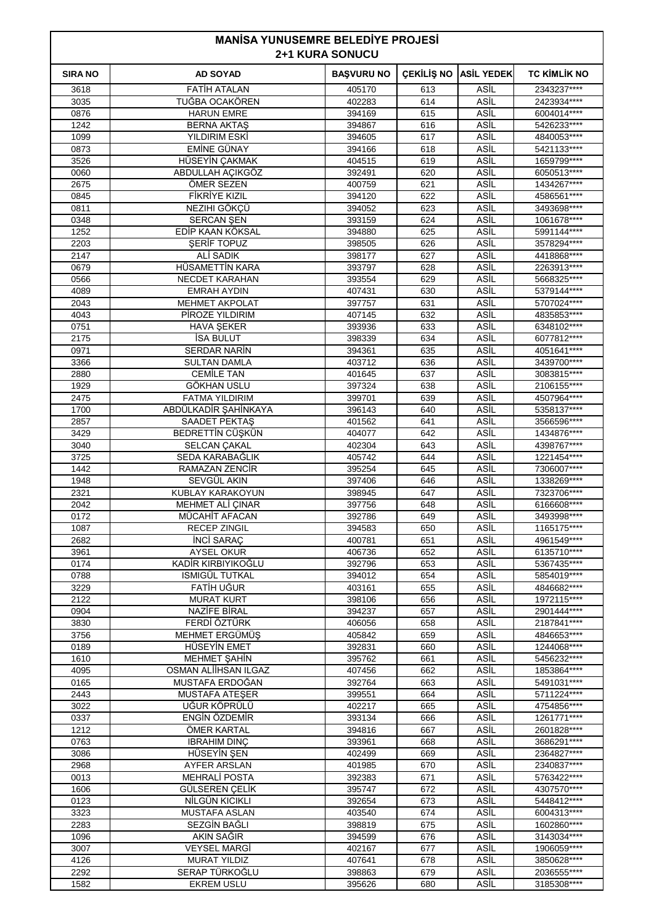| <b>MANISA YUNUSEMRE BELEDIYE PROJESI</b><br><b>2+1 KURA SONUCU</b> |                                         |                   |            |                              |                             |
|--------------------------------------------------------------------|-----------------------------------------|-------------------|------------|------------------------------|-----------------------------|
| <b>SIRA NO</b>                                                     | <b>AD SOYAD</b>                         | <b>BAŞVURU NO</b> |            | <b>ÇEKİLİŞ NO ASİL YEDEK</b> | <b>TC KIMLIK NO</b>         |
| 3618                                                               | <b>FATIH ATALAN</b>                     | 405170            | 613        | ASİL                         | 2343237****                 |
| 3035                                                               | TUĞBA OCAKÖREN                          | 402283            | 614        | <b>ASIL</b>                  | 2423934****                 |
| 0876                                                               | <b>HARUN EMRE</b>                       | 394169            | 615        | ASİL                         | 6004014****                 |
| 1242                                                               | <b>BERNA AKTAS</b>                      | 394867            | 616        | ASİL                         | 5426233****                 |
| 1099                                                               | YILDIRIM ESKİ                           | 394605            | 617        | ASİL                         | 4840053****                 |
| 0873                                                               | <b>EMİNE GÜNAY</b>                      | 394166            | 618        | <b>ASİL</b><br>ASİL          | 5421133****                 |
| 3526<br>0060                                                       | HÜSEYİN ÇAKMAK<br>ABDULLAH AÇIKGÖZ      | 404515<br>392491  | 619<br>620 | ASİL                         | 1659799 ****<br>6050513**** |
| 2675                                                               | ÖMER SEZEN                              | 400759            | 621        | ASİL                         | 1434267****                 |
| 0845                                                               | <b>FİKRİYE KIZIL</b>                    | 394120            | 622        | ASİL                         | 4586561****                 |
| 0811                                                               | NEZIHI GÖKÇÜ                            | 394052            | 623        | <b>ASİL</b>                  | 3493698 ****                |
| 0348                                                               | <b>SERCAN ŞEN</b>                       | 393159            | 624        | <b>ASİL</b>                  | 1061678****                 |
| 1252                                                               | EDİP KAAN KÖKSAL                        | 394880            | 625        | ASİL                         | 5991144****                 |
| 2203                                                               | <b>SERIF TOPUZ</b>                      | 398505            | 626        | ASİL                         | 3578294****                 |
| 2147                                                               | ALİ SADIK                               | 398177            | 627        | ASİL                         | 4418868****                 |
| 0679                                                               | HÜSAMETTİN KARA                         | 393797            | 628        | <b>ASİL</b>                  | 2263913****                 |
| 0566                                                               | NECDET KARAHAN                          | 393554            | 629        | ASİL                         | 5668325****                 |
| 4089                                                               | <b>EMRAH AYDIN</b>                      | 407431            | 630        | ASİL                         | 5379144****                 |
| 2043                                                               | <b>MEHMET AKPOLAT</b>                   | 397757            | 631        | ASİL                         | 5707024****                 |
| 4043                                                               | PİROZE YILDIRIM                         | 407145            | 632        | ASİL                         | 4835853****                 |
| 0751                                                               | <b>HAVA ŞEKER</b>                       | 393936            | 633        | <b>ASİL</b>                  | 6348102****                 |
| 2175<br>0971                                                       | <b>ISA BULUT</b><br><b>SERDAR NARIN</b> | 398339<br>394361  | 634<br>635 | ASİL<br>ASİL                 | 6077812****<br>4051641****  |
| 3366                                                               | <b>SULTAN DAMLA</b>                     | 403712            | 636        | ASİL                         | 3439700****                 |
| 2880                                                               | <b>CEMİLE TAN</b>                       | 401645            | 637        | ASİL                         | 3083815****                 |
| 1929                                                               | GÖKHAN USLU                             | 397324            | 638        | ASİL                         | 2106155****                 |
| 2475                                                               | <b>FATMA YILDIRIM</b>                   | 399701            | 639        | ASİL                         | 4507964****                 |
| 1700                                                               | ABDÜLKADİR ŞAHİNKAYA                    | 396143            | 640        | ASİL                         | 5358137****                 |
| 2857                                                               | <b>SAADET PEKTAS</b>                    | 401562            | 641        | ASİL                         | 3566596****                 |
| 3429                                                               | BEDRETTİN CÜŞKÜN                        | 404077            | 642        | <b>ASİL</b>                  | 1434876****                 |
| 3040                                                               | SELCAN ÇAKAL                            | 402304            | 643        | ASİL                         | 4398767****                 |
| 3725                                                               | SEDA KARABAĞLIK                         | 405742            | 644        | ASİL                         | 1221454 ****                |
| 1442                                                               | RAMAZAN ZENCİR                          | 395254            | 645        | ASİL                         | 7306007****                 |
| 1948                                                               | SEVGÜL AKIN                             | 397406            | 646        | ASİL                         | 1338269****                 |
| 2321                                                               | KUBLAY KARAKOYUN                        | 398945            | 647        | ASİL                         | 7323706****                 |
| 2042                                                               | MEHMET ALI ÇINAR                        | 397756            | 648        | ASİL                         | 6166608****                 |
| 0172                                                               | MÜCAHİT AFACAN<br><b>RECEP ZINGIL</b>   | 392786            | 649        | ASİL                         | 3493998****                 |
| 1087<br>2682                                                       | <b>INCI SARAÇ</b>                       | 394583<br>400781  | 650<br>651 | ASİL<br>ASİL                 | 1165175****<br>4961549****  |
| 3961                                                               | AYSEL OKUR                              | 406736            | 652        | <b>ASİL</b>                  | 6135710****                 |
| 0174                                                               | KADİR KIRBIYIKOĞLU                      | 392796            | 653        | ASİL                         | 5367435****                 |
| 0788                                                               | <b>ISMIGÜL TUTKAL</b>                   | 394012            | 654        | ASİL                         | 5854019****                 |
| 3229                                                               | FATİH UĞUR                              | 403161            | 655        | ASİL                         | 4846682****                 |
| 2122                                                               | <b>MURAT KURT</b>                       | 398106            | 656        | ASİL                         | 1972115****                 |
| 0904                                                               | NAZİFE BİRAL                            | 394237            | 657        | <b>ASIL</b>                  | 2901444****                 |
| 3830                                                               | FERDİ ÖZTÜRK                            | 406056            | 658        | ASİL                         | 2187841****                 |
| 3756                                                               | MEHMET ERGÜMÜŞ                          | 405842            | 659        | ASİL                         | 4846653****                 |
| 0189                                                               | <b>HÜSEYİN EMET</b>                     | 392831            | 660        | ASİL                         | 1244068****                 |
| 1610                                                               | <b>MEHMET ŞAHİN</b>                     | 395762            | 661        | <b>ASIL</b>                  | 5456232****                 |
| 4095<br>0165                                                       | OSMAN ALIIHSAN ILGAZ<br>MUSTAFA ERDOĞAN | 407456<br>392764  | 662<br>663 | <b>ASIL</b><br>ASİL          | 1853864 ****<br>5491031**** |
| 2443                                                               | <b>MUSTAFA ATESER</b>                   | 399551            | 664        | <b>ASIL</b>                  | 5711224****                 |
| 3022                                                               | UĞUR KÖPRÜLÜ                            | 402217            | 665        | ASİL                         | 4754856****                 |
| 0337                                                               | ENGÍN ÖZDEMÍR                           | 393134            | 666        | <b>ASIL</b>                  | 1261771****                 |
| 1212                                                               | ÖMER KARTAL                             | 394816            | 667        | <b>ASIL</b>                  | 2601828****                 |
| 0763                                                               | <b>IBRAHIM DINÇ</b>                     | 393961            | 668        | ASİL                         | 3686291****                 |
| 3086                                                               | HÜSEYİN ŞEN                             | 402499            | 669        | <b>ASIL</b>                  | 2364827****                 |
| 2968                                                               | <b>AYFER ARSLAN</b>                     | 401985            | 670        | ASİL                         | 2340837****                 |
| 0013                                                               | <b>MEHRALI POSTA</b>                    | 392383            | 671        | <b>ASIL</b>                  | 5763422****                 |
| 1606                                                               | GÜLSEREN ÇELİK                          | 395747            | 672        | <b>ASIL</b>                  | 4307570****                 |
| 0123                                                               | NİLGÜN KICIKLI                          | 392654            | 673        | ASİL                         | 5448412****                 |
| 3323                                                               | <b>MUSTAFA ASLAN</b>                    | 403540            | 674        | <b>ASIL</b>                  | 6004313****                 |
| 2283                                                               | SEZGİN BAĞLI                            | 398819            | 675        | ASİL                         | 1602860****                 |
| 1096<br>3007                                                       | AKIN SAĞIR<br><b>VEYSEL MARGİ</b>       | 394599            | 676        | <b>ASIL</b><br><b>ASIL</b>   | 3143034****                 |
| 4126                                                               | <b>MURAT YILDIZ</b>                     | 402167<br>407641  | 677<br>678 | ASİL                         | 1906059 ****<br>3850628**** |
| 2292                                                               | SERAP TÜRKOĞLU                          | 398863            | 679        | ASİL                         | 2036555****                 |
| 1582                                                               | <b>EKREM USLU</b>                       | 395626            | 680        | <b>ASİL</b>                  | 3185308 ****                |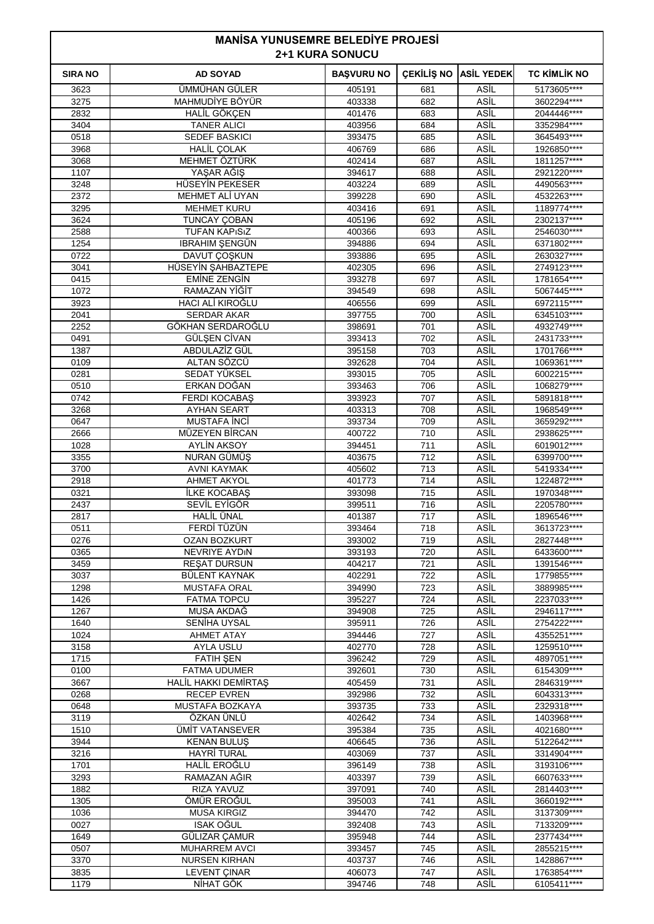| <b>MANISA YUNUSEMRE BELEDIYE PROJESI</b><br><b>2+1 KURA SONUCU</b> |                                             |                   |                   |                            |                             |
|--------------------------------------------------------------------|---------------------------------------------|-------------------|-------------------|----------------------------|-----------------------------|
| <b>SIRA NO</b>                                                     | <b>AD SOYAD</b>                             | <b>BAŞVURU NO</b> | <b>CEKİLİŞ NO</b> | <b>ASİL YEDEK</b>          | <b>TC KİMLİK NO</b>         |
| 3623                                                               | <b>ÜMMÜHAN GÜLER</b>                        | 405191            | 681               | ASİL                       | 5173605****                 |
| 3275                                                               | MAHMUDİYE BÖYÜR                             | 403338            | 682               | ASİL                       | 3602294****                 |
| 2832<br>3404                                                       | HALİL GÖKÇEN<br><b>TANER ALICI</b>          | 401476            | 683<br>684        | ASİL<br>ASİL               | 2044446****<br>3352984****  |
| 0518                                                               | <b>SEDEF BASKICI</b>                        | 403956<br>393475  | 685               | ASİL                       | 3645493****                 |
| 3968                                                               | <b>HALİL ÇOLAK</b>                          | 406769            | 686               | ASİL                       | 1926850****                 |
| 3068                                                               | MEHMET ÖZTÜRK                               | 402414            | 687               | ASİL                       | 1811257****                 |
| 1107                                                               | YAŞAR AĞIŞ                                  | 394617            | 688               | ASİL                       | 2921220****                 |
| 3248                                                               | HÜSEYİN PEKESER                             | 403224            | 689               | ASİL                       | 4490563****                 |
| 2372                                                               | MEHMET ALI UYAN                             | 399228            | 690               | ASİL                       | 4532263****                 |
| 3295                                                               | <b>MEHMET KURU</b>                          | 403416            | 691               | ASİL                       | 1189774****                 |
| 3624<br>2588                                                       | <b>TUNCAY ÇOBAN</b><br><b>TUFAN KAPISIZ</b> | 405196<br>400366  | 692<br>693        | ASİL<br>ASİL               | 2302137****<br>2546030****  |
| 1254                                                               | <b>IBRAHIM ŞENGÜN</b>                       | 394886            | 694               | ASİL                       | 6371802****                 |
| 0722                                                               | DAVUT ÇOŞKUN                                | 393886            | 695               | ASİL                       | 2630327****                 |
| 3041                                                               | HÜSEYİN ŞAHBAZTEPE                          | 402305            | 696               | ASİL                       | 2749123****                 |
| 0415                                                               | <b>EMINE ZENGIN</b>                         | 393278            | 697               | ASİL                       | 1781654****                 |
| 1072                                                               | RAMAZAN YİĞİT                               | 394549            | 698               | ASİL                       | 5067445****                 |
| 3923                                                               | HACI ALİ KIROĞLU                            | 406556            | 699               | ASİL                       | 6972115****                 |
| 2041                                                               | <b>SERDAR AKAR</b>                          | 397755            | 700               | ASİL                       | 6345103****                 |
| 2252                                                               | GÖKHAN SERDAROĞLU                           | 398691            | 701               | ASİL                       | 4932749****                 |
| 0491<br>1387                                                       | <b>GÜLSEN CİVAN</b><br>ABDULAZİZ GÜL        | 393413<br>395158  | 702<br>703        | ASİL<br>ASİL               | 2431733****<br>1701766****  |
| 0109                                                               | ALTAN SÖZCÜ                                 | 392628            | 704               | ASİL                       | 1069361 ****                |
| 0281                                                               | SEDAT YÜKSEL                                | 393015            | 705               | ASİL                       | 6002215****                 |
| 0510                                                               | ERKAN DOĞAN                                 | 393463            | 706               | ASİL                       | 1068279 ****                |
| 0742                                                               | <b>FERDI KOCABAS</b>                        | 393923            | 707               | ASİL                       | 5891818****                 |
| 3268                                                               | <b>AYHAN SEART</b>                          | 403313            | 708               | ASİL                       | 1968549****                 |
| 0647                                                               | <b>MUSTAFA İNCİ</b>                         | 393734            | 709               | ASİL                       | 3659292****                 |
| 2666                                                               | MÜZEYEN BİRCAN                              | 400722            | 710               | ASİL                       | 2938625****                 |
| 1028                                                               | <b>AYLİN AKSOY</b>                          | 394451            | 711               | ASİL                       | 6019012****                 |
| 3355<br>3700                                                       | NURAN GÜMÜŞ<br>AVNI KAYMAK                  | 403675<br>405602  | 712<br>713        | ASİL<br>ASİL               | 6399700****<br>5419334 **** |
| 2918                                                               | AHMET AKYOL                                 | 401773            | 714               | ASİL                       | 1224872****                 |
| 0321                                                               | <b>İLKE KOCABAŞ</b>                         | 393098            | 715               | ASİL                       | 1970348****                 |
| 2437                                                               | SEVİL EYİGÖR                                | 399511            | 716               | ASİL                       | 2205780****                 |
| 2817                                                               | <b>HALİL ÜNAL</b>                           | 401387            | 717               | ASİL                       | 1896546****                 |
| 0511                                                               | <b>FERDI TUZUN</b>                          | 393464            | 718               | ASİL                       | 3613723****                 |
| 0276                                                               | OZAN BOZKURT                                | 393002            | 719               | ASİL                       | 2827448****                 |
| 0365                                                               | <b>NEVRIYE AYDIN</b>                        | 393193            | 720               | ASİL                       | 6433600****                 |
| 3459                                                               | <b>RESAT DURSUN</b>                         | 404217            | 721               | <b>ASIL</b>                | 1391546****                 |
| 3037<br>1298                                                       | BÜLENT KAYNAK<br><b>MUSTAFA ORAL</b>        | 402291<br>394990  | 722<br>723        | ASİL<br>ASİL               | 1779855****<br>3889985****  |
| 1426                                                               | <b>FATMA TOPCU</b>                          | 395227            | 724               | ASİL                       | 2237033****                 |
| 1267                                                               | MUSA AKDAĞ                                  | 394908            | 725               | <b>ASIL</b>                | 2946117****                 |
| 1640                                                               | SENİHA UYSAL                                | 395911            | 726               | <b>ASIL</b>                | 2754222****                 |
| 1024                                                               | <b>AHMET ATAY</b>                           | 394446            | 727               | ASİL                       | 4355251****                 |
| 3158                                                               | <b>AYLA USLU</b>                            | 402770            | 728               | ASİL                       | 1259510****                 |
| 1715                                                               | <b>FATIH ŞEN</b>                            | 396242            | 729               | ASİL                       | 4897051****                 |
| 0100<br>3667                                                       | <b>FATMA UDUMER</b>                         | 392601<br>405459  | 730<br>731        | <b>ASIL</b><br><b>ASIL</b> | 6154309****<br>2846319****  |
| 0268                                                               | HALİL HAKKI DEMİRTAŞ<br><b>RECEP EVREN</b>  | 392986            | 732               | ASİL                       | 6043313****                 |
| 0648                                                               | MUSTAFA BOZKAYA                             | 393735            | 733               | ASİL                       | 2329318 ****                |
| 3119                                                               | ÖZKAN ÜNLÜ                                  | 402642            | 734               | ASİL                       | 1403968****                 |
| 1510                                                               | ÜMİT VATANSEVER                             | 395384            | 735               | <b>ASIL</b>                | 4021680****                 |
| 3944                                                               | <b>KENAN BULUS</b>                          | 406645            | 736               | <b>ASIL</b>                | 5122642****                 |
| 3216                                                               | <b>HAYRİ TURAL</b>                          | 403069            | 737               | ASİL                       | 3314904****                 |
| 1701                                                               | HALİL EROĞLU                                | 396149            | 738               | ASİL                       | 3193106****                 |
| 3293                                                               | RAMAZAN AĞIR                                | 403397            | 739               | ASİL                       | 6607633****                 |
| 1882<br>1305                                                       | RIZA YAVUZ<br>ÖMÜR EROĞUL                   | 397091<br>395003  | 740<br>741        | <b>ASIL</b><br><b>ASIL</b> | 2814403****<br>3660192****  |
| 1036                                                               | <b>MUSA KIRGIZ</b>                          | 394470            | 742               | ASİL                       | 3137309****                 |
| 0027                                                               | <b>ISAK OĞUL</b>                            | 392408            | 743               | ASİL                       | 7133209****                 |
| 1649                                                               | GÜLIZAR ÇAMUR                               | 395948            | 744               | ASİL                       | 2377434****                 |
| 0507                                                               | <b>MUHARREM AVCI</b>                        | 393457            | 745               | <b>ASIL</b>                | 2855215****                 |
| 3370                                                               | <b>NURSEN KIRHAN</b>                        | 403737            | 746               | <b>ASIL</b>                | 1428867****                 |
| 3835                                                               | <b>LEVENT ÇINAR</b>                         | 406073            | 747               | ASİL                       | 1763854****                 |
| 1179                                                               | NİHAT GÖK                                   | 394746            | 748               | ASİL                       | 6105411****                 |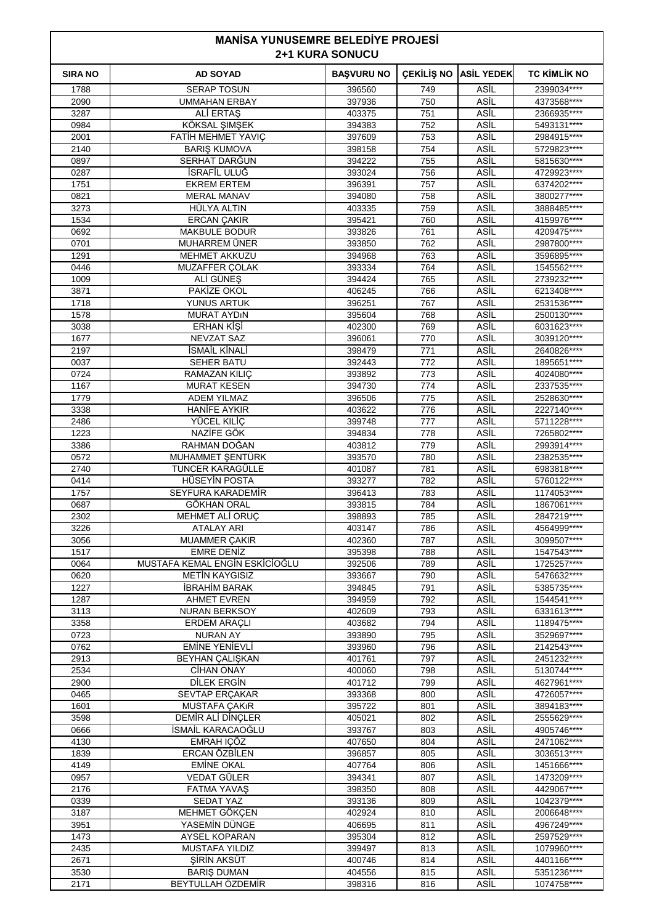| <b>MANISA YUNUSEMRE BELEDIYE PROJESI</b><br><b>2+1 KURA SONUCU</b> |                                            |                   |                   |                     |                             |  |
|--------------------------------------------------------------------|--------------------------------------------|-------------------|-------------------|---------------------|-----------------------------|--|
| <b>SIRA NO</b>                                                     | <b>AD SOYAD</b>                            | <b>BAŞVURU NO</b> | <b>CEKILIS NO</b> | <b>ASİL YEDEK</b>   | <b>TC KIMLIK NO</b>         |  |
| 1788                                                               | <b>SERAP TOSUN</b>                         | 396560            | 749               | ASİL                | 2399034 ****                |  |
| 2090                                                               | <b>UMMAHAN ERBAY</b>                       | 397936            | 750               | ASİL                | 4373568****                 |  |
| 3287                                                               | ALI ERTAŞ                                  | 403375            | 751               | <b>ASIL</b>         | 2366935****                 |  |
| 0984<br>2001                                                       | KÖKSAL ŞIMŞEK<br>FATIH MEHMET YAVIÇ        | 394383<br>397609  | 752<br>753        | ASİL<br>ASİL        | 5493131****<br>2984915****  |  |
| 2140                                                               | <b>BARIS KUMOVA</b>                        | 398158            | 754               | ASİL                | 5729823****                 |  |
| 0897                                                               | SERHAT DARĞUN                              | 394222            | 755               | ASİL                | 5815630****                 |  |
| 0287                                                               | İSRAFİL ULUĞ                               | 393024            | 756               | ASİL                | 4729923****                 |  |
| 1751                                                               | <b>EKREM ERTEM</b>                         | 396391            | 757               | <b>ASIL</b>         | 6374202****                 |  |
| 0821                                                               | MERAL MANAV                                | 394080            | 758               | <b>ASIL</b>         | 3800277****                 |  |
| 3273                                                               | HÜLYA ALTIN                                | 403335            | 759               | ASİL                | 3888485****                 |  |
| 1534<br>0692                                                       | <b>ERCAN ÇAKIR</b><br><b>MAKBULE BODUR</b> | 395421<br>393826  | 760<br>761        | ASİL<br>ASİL        | 4159976****<br>4209475****  |  |
| 0701                                                               | MUHARREM ÜNER                              | 393850            | 762               | ASİL                | 2987800****                 |  |
| 1291                                                               | <b>MEHMET AKKUZU</b>                       | 394968            | 763               | ASİL                | 3596895****                 |  |
| 0446                                                               | <b>MUZAFFER COLAK</b>                      | 393334            | 764               | ASİL                | 1545562****                 |  |
| 1009                                                               | ALİ GÜNEŞ                                  | 394424            | 765               | ASİL                | 2739232****                 |  |
| 3871                                                               | PAKİZE OKOL                                | 406245            | 766               | ASİL                | 6213408****                 |  |
| 1718                                                               | YUNUS ARTUK                                | 396251            | 767               | ASİL                | 2531536****                 |  |
| 1578                                                               | <b>MURAT AYDIN</b>                         | 395604            | 768               | ASİL                | 2500130****                 |  |
| 3038<br>1677                                                       | ERHAN KIŞİ<br>NEVZAT SAZ                   | 402300<br>396061  | 769<br>770        | ASİL<br>ASİL        | 6031623****<br>3039120****  |  |
| 2197                                                               | İSMAİL KİNALİ                              | 398479            | 771               | ASİL                | 2640826****                 |  |
| 0037                                                               | <b>SEHER BATU</b>                          | 392443            | 772               | ASİL                | 1895651****                 |  |
| 0724                                                               | RAMAZAN KILIÇ                              | 393892            | 773               | ASİL                | 4024080****                 |  |
| 1167                                                               | <b>MURAT KESEN</b>                         | 394730            | 774               | ASİL                | 2337535****                 |  |
| 1779                                                               | <b>ADEM YILMAZ</b>                         | 396506            | 775               | ASİL                | 2528630****                 |  |
| 3338                                                               | <b>HANIFE AYKIR</b>                        | 403622            | 776               | ASİL                | 2227140****                 |  |
| 2486                                                               | YÜCEL KILİÇ                                | 399748            | 777               | ASİL                | 5711228****                 |  |
| 1223<br>3386                                                       | NAZİFE GÖK<br>RAHMAN DOĞAN                 | 394834<br>403812  | 778<br>779        | ASİL<br><b>ASIL</b> | 7265802****<br>2993914 **** |  |
| 0572                                                               | MUHAMMET ŞENTÜRK                           | 393570            | 780               | ASİL                | 2382535****                 |  |
| 2740                                                               | TUNCER KARAGÜLLE                           | 401087            | 781               | ASİL                | 6983818****                 |  |
| 0414                                                               | <b>HÜSEYİN POSTA</b>                       | 393277            | 782               | ASİL                | 5760122****                 |  |
| 1757                                                               | SEYFURA KARADEMİR                          | 396413            | 783               | ASİL                | 1174053****                 |  |
| 0687                                                               | GÖKHAN ORAL                                | 393815            | 784               | ASİL                | 1867061****                 |  |
| 2302                                                               | MEHMET ALI ORUÇ                            | 398893            | 785               | ASİL                | 2847219 ****                |  |
| 3226<br>3056                                                       | ATALAY ARI<br>MUAMMER ÇAKIR                | 403147<br>402360  | 786<br>787        | ASIL<br>ASİL        | 4564999****<br>3099507****  |  |
| 1517                                                               | <b>EMRE DENİZ</b>                          | 395398            | 788               | ASİL                | 1547543****                 |  |
| 0064                                                               | MUSTAFA KEMAL ENGÍN ESKÍCÍOĞLU             | 392506            | 789               | ASİL                | 1725257****                 |  |
| 0620                                                               | <b>METIN KAYGISIZ</b>                      | 393667            | 790               | ASİL                | 5476632****                 |  |
| 1227                                                               | <b>IBRAHIM BARAK</b>                       | 394845            | 791               | ASİL                | 5385735****                 |  |
| 1287                                                               | <b>AHMET EVREN</b>                         | 394959            | 792               | ASİL                | 1544541****                 |  |
| 3113                                                               | NURAN BERKSOY                              | 402609            | 793               | ASİL                | 6331613****                 |  |
| 3358                                                               | <b>ERDEM ARAÇLI</b>                        | 403682            | 794               | ASİL                | 1189475****                 |  |
| 0723<br>0762                                                       | <b>NURAN AY</b><br><b>EMINE YENIEVLI</b>   | 393890<br>393960  | 795<br>796        | ASİL<br>ASİL        | 3529697****<br>2142543****  |  |
| 2913                                                               | <b>BEYHAN ÇALIŞKAN</b>                     | 401761            | 797               | ASİL                | 2451232****                 |  |
| 2534                                                               | <b>CİHAN ONAY</b>                          | 400060            | 798               | ASİL                | 5130744****                 |  |
| 2900                                                               | DILEK ERGIN                                | 401712            | 799               | ASİL                | 4627961****                 |  |
| 0465                                                               | <b>SEVTAP ERCAKAR</b>                      | 393368            | 800               | ASİL                | 4726057****                 |  |
| 1601                                                               | <b>MUSTAFA ÇAKıR</b>                       | 395722            | 801               | ASİL                | 3894183****                 |  |
| 3598                                                               | DEMIR ALI DINÇLER                          | 405021            | 802               | ASİL                | 2555629****                 |  |
| 0666<br>4130                                                       | İSMAİL KARACAOĞLU<br>EMRAH IÇÖZ            | 393767<br>407650  | 803<br>804        | ASİL<br>ASİL        | 4905746****<br>2471062****  |  |
| 1839                                                               | ERCAN ÖZBİLEN                              | 396857            | 805               | <b>ASIL</b>         | 3036513****                 |  |
| 4149                                                               | <b>EMİNE OKAL</b>                          | 407764            | 806               | ASİL                | 1451666****                 |  |
| 0957                                                               | <b>VEDAT GÜLER</b>                         | 394341            | 807               | ASİL                | 1473209****                 |  |
| 2176                                                               | <b>FATMA YAVAŞ</b>                         | 398350            | 808               | ASİL                | 4429067****                 |  |
| 0339                                                               | <b>SEDAT YAZ</b>                           | 393136            | 809               | ASİL                | 1042379****                 |  |
| 3187                                                               | MEHMET GÖKÇEN                              | 402924            | 810               | <b>ASIL</b>         | 2006648****                 |  |
| 3951                                                               | YASEMİN DÜNGE                              | 406695            | 811               | ASİL                | 4967249****                 |  |
| 1473                                                               | AYSEL KOPARAN                              | 395304            | 812<br>813        | ASİL<br>ASİL        | 2597529 ****                |  |
| 2435<br>2671                                                       | <b>MUSTAFA YILDIZ</b><br>SIRIN AKSÜT       | 399497<br>400746  | 814               | ASİL                | 1079960****<br>4401166****  |  |
| 3530                                                               | <b>BARIS DUMAN</b>                         | 404556            | 815               | ASİL                | 5351236****                 |  |
| 2171                                                               | BEYTULLAH ÖZDEMİR                          | 398316            | 816               | ASİL                | 1074758****                 |  |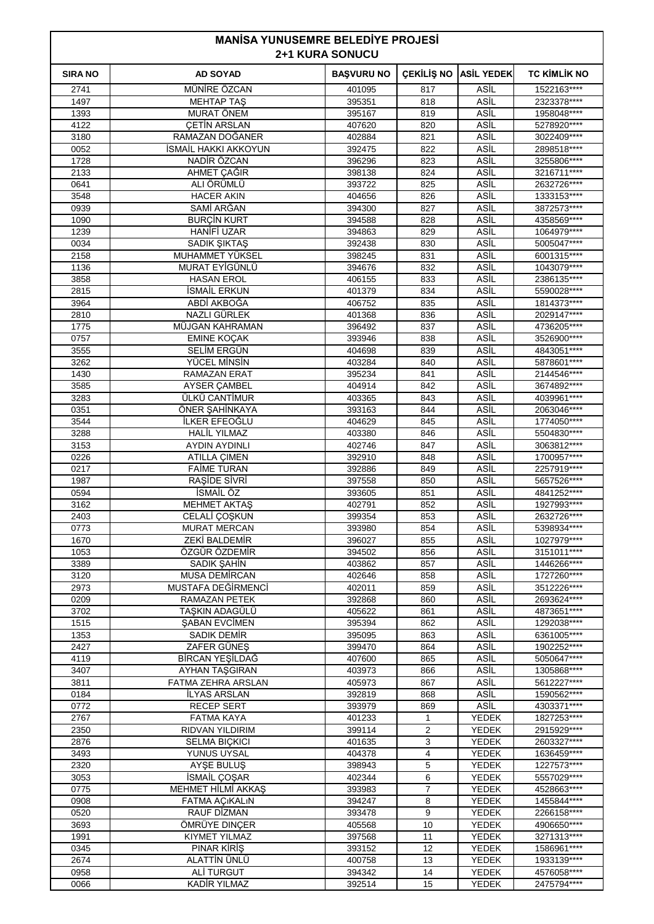| <b>MANISA YUNUSEMRE BELEDIYE PROJESI</b><br><b>2+1 KURA SONUCU</b> |                                       |                   |                   |                              |                            |
|--------------------------------------------------------------------|---------------------------------------|-------------------|-------------------|------------------------------|----------------------------|
| <b>SIRA NO</b>                                                     | <b>AD SOYAD</b>                       | <b>BAŞVURU NO</b> | <b>CEKILIS NO</b> | <b>ASİL YEDEK</b>            | TC KİMLİK NO               |
| 2741                                                               | MÜNİRE ÖZCAN                          | 401095            | 817               | ASİL                         | 1522163****                |
| 1497                                                               | <b>MEHTAP TAS</b>                     | 395351            | 818               | ASİL                         | 2323378****                |
| 1393                                                               | <b>MURAT ÖNEM</b>                     | 395167            | 819               | ASİL                         | 1958048****                |
| 4122                                                               | <b>CETIN ARSLAN</b>                   | 407620            | 820               | ASİL                         | 5278920****                |
| 3180                                                               | RAMAZAN DOGANER                       | 402884            | 821               | ASİL                         | 3022409 ****               |
| 0052<br>1728                                                       | ISMAIL HAKKI AKKOYUN<br>NADİR ÖZCAN   | 392475            | 822               | ASİL<br>ASİL                 | 2898518 ****               |
| 2133                                                               | AHMET ÇAĞIR                           | 396296<br>398138  | 823<br>824        | ASİL                         | 3255806****<br>3216711**** |
| 0641                                                               | ALI ÖRÜMLÜ                            | 393722            | 825               | ASİL                         | 2632726****                |
| 3548                                                               | <b>HACER AKIN</b>                     | 404656            | 826               | ASİL                         | 1333153****                |
| 0939                                                               | SAMİ ARĞAN                            | 394300            | 827               | ASİL                         | 3872573****                |
| 1090                                                               | <b>BURCIN KURT</b>                    | 394588            | 828               | ASİL                         | 4358569****                |
| 1239                                                               | HANIFI UZAR                           | 394863            | 829               | ASİL                         | 1064979 ****               |
| 0034                                                               | SADIK ŞIKTAŞ                          | 392438            | 830               | ASİL                         | 5005047****                |
| 2158                                                               | MUHAMMET YÜKSEL                       | 398245            | 831               | ASİL                         | 6001315****                |
| 1136                                                               | MURAT EYİGÜNLÜ                        | 394676            | 832               | ASİL                         | 1043079****                |
| 3858                                                               | <b>HASAN EROL</b>                     | 406155            | 833               | ASİL                         | 2386135****                |
| 2815                                                               | <b>İSMAİL ERKUN</b>                   | 401379            | 834               | ASİL                         | 5590028 ****               |
| 3964                                                               | ABDİ AKBOĞA                           | 406752            | 835               | ASİL                         | 1814373****                |
| 2810                                                               | <b>NAZLI GÜRLEK</b>                   | 401368            | 836               | ASİL                         | 2029147****                |
| 1775<br>0757                                                       | MÜJGAN KAHRAMAN<br><b>EMINE KOCAK</b> | 396492<br>393946  | 837<br>838        | ASİL<br>ASİL                 | 4736205****<br>3526900**** |
| 3555                                                               | SELIM ERGÜN                           | 404698            | 839               | ASİL                         | 4843051 ****               |
| 3262                                                               | YÜCEL MİNSİN                          | 403284            | 840               | ASİL                         | 5878601****                |
| 1430                                                               | RAMAZAN ERAT                          | 395234            | 841               | ASİL                         | 2144546****                |
| 3585                                                               | <b>AYSER CAMBEL</b>                   | 404914            | 842               | ASİL                         | 3674892****                |
| 3283                                                               | ÜLKÜ CANTİMUR                         | 403365            | 843               | ASİL                         | 4039961 ****               |
| 0351                                                               | ÖNER ŞAHİNKAYA                        | 393163            | 844               | ASİL                         | 2063046****                |
| 3544                                                               | İLKER EFEOĞLU                         | 404629            | 845               | ASİL                         | 1774050****                |
| 3288                                                               | <b>HALIL YILMAZ</b>                   | 403380            | 846               | ASİL                         | 5504830****                |
| 3153                                                               | <b>AYDIN AYDINLI</b>                  | 402746            | 847               | ASİL                         | 3063812****                |
| 0226                                                               | <b>ATILLA CIMEN</b>                   | 392910            | 848               | ASİL                         | 1700957****                |
| 0217                                                               | <b>FAİME TURAN</b>                    | 392886            | 849               | ASİL                         | 2257919 ****               |
| 1987<br>0594                                                       | RAŞİDE SİVRİ<br><b>ISMAIL ÖZ</b>      | 397558            | 850<br>851        | ASİL<br>ASİL                 | 5657526****<br>4841252**** |
| 3162                                                               | <b>MEHMET AKTAŞ</b>                   | 393605<br>402791  | 852               | ASİL                         | 1927993****                |
| 2403                                                               | CELALI ÇOŞKUN                         | 399354            | 853               | ASİL                         | 2632726****                |
| 0773                                                               | <b>MURAT MERCAN</b>                   | 393980            | 854               | ASİL                         | 5398934 ****               |
| 1670                                                               | ZEKİ BALDEMİR                         | 396027            | 855               | ASİL                         | 1027979 ****               |
| 1053                                                               | ÖZGÜR ÖZDEMİR                         | 394502            | 856               | <b>ASIL</b>                  | 3151011****                |
| 3389                                                               | SADIK ŞAHİN                           | 403862            | 857               | ASİL                         | 1446266****                |
| 3120                                                               | <b>MUSA DEMIRCAN</b>                  | 402646            | 858               | ASİL                         | 1727260****                |
| 2973                                                               | MUSTAFA DEĞİRMENCİ                    | 402011            | 859               | ASİL                         | 3512226****                |
| 0209                                                               | <b>RAMAZAN PETEK</b>                  | 392868            | 860               | ASİL                         | 2693624****                |
| 3702                                                               | TAŞKIN ADAGÜLÜ                        | 405622            | 861               | <b>ASIL</b>                  | 4873651****                |
| 1515                                                               | <b>SABAN EVCIMEN</b>                  | 395394            | 862               | ASİL                         | 1292038****                |
| 1353<br>2427                                                       | <b>SADIK DEMİR</b><br>ZAFER GÜNES     | 395095<br>399470  | 863<br>864        | ASİL<br>ASİL                 | 6361005****<br>1902252**** |
| 4119                                                               | BİRCAN YEŞİLDAĞ                       | 407600            | 865               | ASİL                         | 5050647****                |
| 3407                                                               | AYHAN TAŞGIRAN                        | 403973            | 866               | ASİL                         | 1305868****                |
| 3811                                                               | FATMA ZEHRA ARSLAN                    | 405973            | 867               | ASİL                         | 5612227****                |
| 0184                                                               | İLYAS ARSLAN                          | 392819            | 868               | ASİL                         | 1590562****                |
| 0772                                                               | <b>RECEP SERT</b>                     | 393979            | 869               | ASİL                         | 4303371****                |
| 2767                                                               | FATMA KAYA                            | 401233            | 1                 | <b>YEDEK</b>                 | 1827253****                |
| 2350                                                               | RIDVAN YILDIRIM                       | 399114            | 2                 | <b>YEDEK</b>                 | 2915929 ****               |
| 2876                                                               | <b>SELMA BICKICI</b>                  | 401635            | 3                 | <b>YEDEK</b>                 | 2603327****                |
| 3493                                                               | YUNUS UYSAL                           | 404378            | 4                 | <b>YEDEK</b>                 | 1636459****                |
| 2320                                                               | AYSE BULUS                            | 398943            | 5                 | <b>YEDEK</b>                 | 1227573****                |
| 3053                                                               | İSMAİL ÇOŞAR                          | 402344            | 6                 | <b>YEDEK</b>                 | 5557029****                |
| 0775<br>0908                                                       | MEHMET HİLMİ AKKAŞ                    | 393983<br>394247  | 7<br>8            | <b>YEDEK</b><br><b>YEDEK</b> | 4528663****<br>1455844**** |
| 0520                                                               | FATMA AÇIKALIN<br>RAUF DİZMAN         | 393478            | 9                 | <b>YEDEK</b>                 | 2266158****                |
| 3693                                                               | ÖMRÜYE DINÇER                         | 405568            | 10                | YEDEK                        | 4906650****                |
| 1991                                                               | <b>KIYMET YILMAZ</b>                  | 397568            | 11                | YEDEK                        | 3271313****                |
| 0345                                                               | PINAR KIRIŞ                           | 393152            | 12                | YEDEK                        | 1586961 ****               |
| 2674                                                               | ALATTİN ÜNLÜ                          | 400758            | 13                | <b>YEDEK</b>                 | 1933139****                |
| 0958                                                               | <b>ALİ TURGUT</b>                     | 394342            | 14                | <b>YEDEK</b>                 | 4576058****                |
| 0066                                                               | <b>KADİR YILMAZ</b>                   | 392514            | 15                | <b>YEDEK</b>                 | 2475794****                |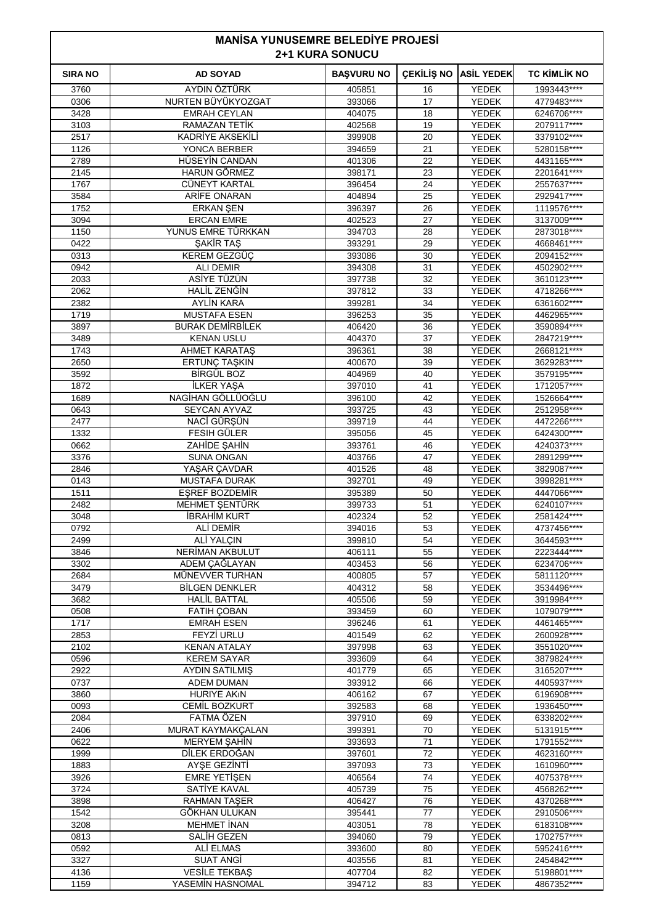|                | <b>MANISA YUNUSEMRE BELEDIYE PROJESI</b><br><b>2+1 KURA SONUCU</b> |                   |                   |                       |                            |
|----------------|--------------------------------------------------------------------|-------------------|-------------------|-----------------------|----------------------------|
| <b>SIRA NO</b> | <b>AD SOYAD</b>                                                    | <b>BAŞVURU NO</b> | <b>CEKİLİŞ NO</b> | <b>ASİL YEDEK</b>     | <b>TC KIMLIK NO</b>        |
| 3760           | <b>AYDIN ÖZTÜRK</b>                                                | 405851            | 16                | <b>YEDEK</b>          | 1993443****                |
| 0306           | NURTEN BÜYÜKYOZGAT                                                 | 393066            | 17                | <b>YEDEK</b>          | 4779483****                |
| 3428           | <b>EMRAH CEYLAN</b>                                                | 404075            | 18                | YEDEK                 | 6246706****                |
| 3103           | RAMAZAN TETİK                                                      | 402568            | 19                | YEDEK                 | 2079117****                |
| 2517<br>1126   | KADRİYE AKSEKİLİ<br>YONCA BERBER                                   | 399908<br>394659  | 20<br>21          | YEDEK<br>YEDEK        | 3379102****<br>5280158**** |
| 2789           | HÜSEYİN CANDAN                                                     | 401306            | 22                | <b>YEDEK</b>          | 4431165****                |
| 2145           | <b>HARUN GÖRMEZ</b>                                                | 398171            | 23                | <b>YEDEK</b>          | 2201641****                |
| 1767           | CÜNEYT KARTAL                                                      | 396454            | 24                | YEDEK                 | 2557637****                |
| 3584           | ARIFE ONARAN                                                       | 404894            | 25                | YEDEK                 | 2929417****                |
| 1752           | <b>ERKAN ŞEN</b>                                                   | 396397            | 26                | YEDEK                 | 1119576****                |
| 3094           | <b>ERCAN EMRE</b>                                                  | 402523            | 27                | <b>YEDEK</b>          | 3137009 ****               |
| 1150           | YUNUS EMRE TÜRKKAN                                                 | 394703            | 28                | <b>YEDEK</b>          | 2873018****                |
| 0422           | ŞAKİR TAŞ                                                          | 393291            | 29                | YEDEK                 | 4668461****                |
| 0313           | KEREM GEZGÜÇ                                                       | 393086            | 30                | YEDEK                 | 2094152****                |
| 0942<br>2033   | <b>ALI DEMIR</b><br>ASİYE TÜZÜN                                    | 394308<br>397738  | 31<br>32          | <b>YEDEK</b><br>YEDEK | 4502902****<br>3610123**** |
| 2062           | HALİL ZENĞİN                                                       | 397812            | 33                | <b>YEDEK</b>          | 4718266****                |
| 2382           | AYLIN KARA                                                         | 399281            | 34                | YEDEK                 | 6361602****                |
| 1719           | <b>MUSTAFA ESEN</b>                                                | 396253            | 35                | YEDEK                 | 4462965****                |
| 3897           | <b>BURAK DEMIRBILEK</b>                                            | 406420            | 36                | <b>YEDEK</b>          | 3590894 ****               |
| 3489           | <b>KENAN USLU</b>                                                  | 404370            | 37                | YEDEK                 | 2847219 ****               |
| 1743           | <b>AHMET KARATAS</b>                                               | 396361            | 38                | <b>YEDEK</b>          | 2668121****                |
| 2650           | ERTUNÇ TAŞKIN                                                      | 400670            | 39                | YEDEK                 | 3629283****                |
| 3592           | BİRGÜL BOZ                                                         | 404969            | 40                | YEDEK                 | 3579195****                |
| 1872           | <b>İLKER YASA</b>                                                  | 397010            | 41                | <b>YEDEK</b>          | 1712057****                |
| 1689           | NAGİHAN GÖLLÜOĞLU                                                  | 396100            | 42                | YEDEK                 | 1526664****                |
| 0643<br>2477   | SEYCAN AYVAZ<br>NACİ GÜRŞÜN                                        | 393725<br>399719  | 43<br>44          | <b>YEDEK</b><br>YEDEK | 2512958****<br>4472266**** |
| 1332           | FESIH GÜLER                                                        | 395056            | 45                | YEDEK                 | 6424300****                |
| 0662           | ZAHIDE ŞAHİN                                                       | 393761            | 46                | <b>YEDEK</b>          | 4240373****                |
| 3376           | <b>SUNA ONGAN</b>                                                  | 403766            | 47                | <b>YEDEK</b>          | 2891299****                |
| 2846           | YAŞAR ÇAVDAR                                                       | 401526            | 48                | <b>YEDEK</b>          | 3829087****                |
| 0143           | MUSTAFA DURAK                                                      | 392701            | 49                | YEDEK                 | 3998281****                |
| 1511           | <b>ESREF BOZDEMIR</b>                                              | 395389            | 50                | YEDEK                 | 4447066****                |
| 2482           | MEHMET ŞENTÜRK                                                     | 399733            | 51                | YEDEK                 | 6240107****                |
| 3048           | İBRAHİM KURT                                                       | 402324            | 52                | YEDEK                 | 2581424****                |
| 0792           | ALI DEMIR                                                          | 394016            | 53                | YEDEK                 | 4737456****                |
| 2499<br>3846   | ALİ YALÇIN<br><b>NERİMAN AKBULUT</b>                               | 399810<br>406111  | 54<br>55          | YEDEK<br>YEDEK        | 3644593****<br>2223444**** |
| 3302           | ADEM ÇAĞLAYAN                                                      | 403453            | 56                | <b>YEDEK</b>          | 6234706****                |
| 2684           | MÜNEVVER TURHAN                                                    | 400805            | 57                | <b>YEDEK</b>          | 5811120****                |
| 3479           | <b>BİLGEN DENKLER</b>                                              | 404312            | 58                | <b>YEDEK</b>          | 3534496****                |
| 3682           | HALİL BATTAL                                                       | 405506            | 59                | YEDEK                 | 3919984****                |
| 0508           | <b>FATIH COBAN</b>                                                 | 393459            | 60                | YEDEK                 | 1079079****                |
| 1717           | <b>EMRAH ESEN</b>                                                  | 396246            | 61                | <b>YEDEK</b>          | 4461465****                |
| 2853           | <b>FEYZI URLU</b>                                                  | 401549            | 62                | <b>YEDEK</b>          | 2600928****                |
| 2102           | <b>KENAN ATALAY</b>                                                | 397998            | 63                | YEDEK                 | 3551020****                |
| 0596<br>2922   | <b>KEREM SAYAR</b><br><b>AYDIN SATILMIŞ</b>                        | 393609<br>401779  | 64<br>65          | YEDEK<br>YEDEK        | 3879824****<br>3165207**** |
| 0737           | <b>ADEM DUMAN</b>                                                  | 393912            | 66                | <b>YEDEK</b>          | 4405937****                |
| 3860           | <b>HURIYE AKIN</b>                                                 | 406162            | 67                | <b>YEDEK</b>          | 6196908****                |
| 0093           | <b>CEMİL BOZKURT</b>                                               | 392583            | 68                | YEDEK                 | 1936450****                |
| 2084           | FATMA ÖZEN                                                         | 397910            | 69                | YEDEK                 | 6338202****                |
| 2406           | MURAT KAYMAKÇALAN                                                  | 399391            | 70                | YEDEK                 | 5131915****                |
| 0622           | <b>MERYEM ŞAHİN</b>                                                | 393693            | 71                | <b>YEDEK</b>          | 1791552****                |
| 1999           | DİLEK ERDOĞAN                                                      | 397601            | 72                | <b>YEDEK</b>          | 4623160****                |
| 1883           | AYŞE GEZİNTİ                                                       | 397093            | 73                | YEDEK                 | 1610960****                |
| 3926           | <b>EMRE YETİŞEN</b>                                                | 406564            | 74                | YEDEK                 | 4075378****                |
| 3724           | SATIYE KAVAL                                                       | 405739<br>406427  | 75<br>76          | YEDEK<br><b>YEDEK</b> | 4568262****                |
| 3898<br>1542   | <b>RAHMAN TAŞER</b><br>GÖKHAN ULUKAN                               | 395441            | 77                | <b>YEDEK</b>          | 4370268****<br>2910506**** |
| 3208           | <b>MEHMET İNAN</b>                                                 | 403051            | 78                | YEDEK                 | 6183108****                |
| 0813           | SALIH GEZEN                                                        | 394060            | 79                | YEDEK                 | 1702757****                |
| 0592           | ALI ELMAS                                                          | 393600            | 80                | YEDEK                 | 5952416****                |
| 3327           | <b>SUAT ANGI</b>                                                   | 403556            | 81                | <b>YEDEK</b>          | 2454842****                |
| 4136           | <b>VESİLE TEKBAŞ</b>                                               | 407704            | 82                | <b>YEDEK</b>          | 5198801****                |
| 1159           | YASEMİN HASNOMAL                                                   | 394712            | 83                | <b>YEDEK</b>          | 4867352****                |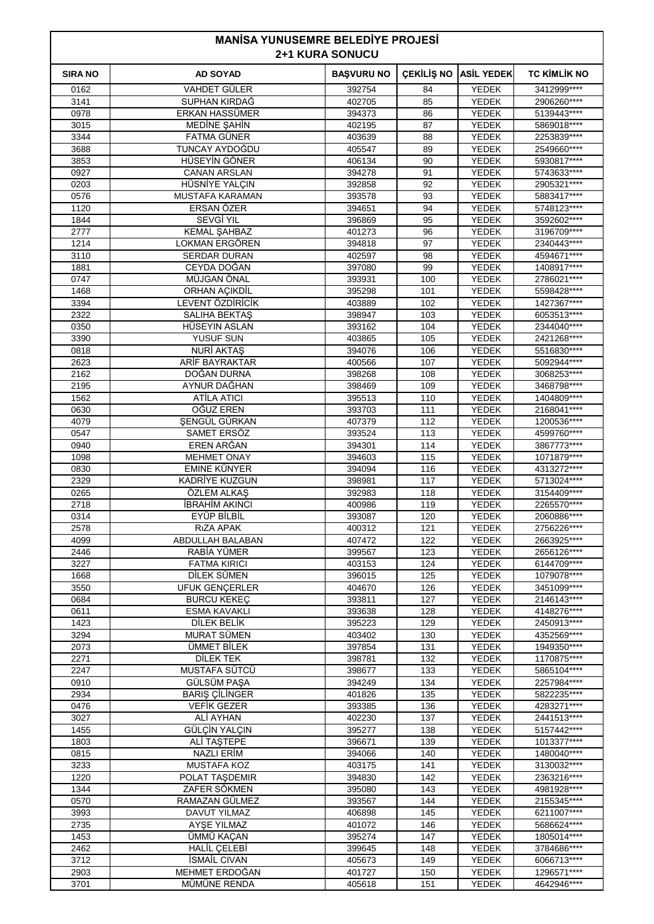|                |                                      | <b>MANISA YUNUSEMRE BELEDIYE PROJESI</b><br><b>2+1 KURA SONUCU</b> |            |                              |                            |  |  |
|----------------|--------------------------------------|--------------------------------------------------------------------|------------|------------------------------|----------------------------|--|--|
| <b>SIRA NO</b> | <b>AD SOYAD</b>                      | <b>BAŞVURU NO</b>                                                  | ÇEKİLİŞ NO | <b>ASİL YEDEK</b>            | <b>TC KIMLIK NO</b>        |  |  |
| 0162           | <b>VAHDET GÜLER</b>                  | 392754                                                             | 84         | <b>YEDEK</b>                 | 3412999 ****               |  |  |
| 3141           | SUPHAN KIRDAĞ                        | 402705                                                             | 85         | <b>YEDEK</b>                 | 2906260****                |  |  |
| 0978           | ERKAN HASSÜMER                       | 394373                                                             | 86         | YEDEK                        | 5139443****                |  |  |
| 3015           | MEDİNE ŞAHİN                         | 402195                                                             | 87         | <b>YEDEK</b>                 | 5869018****                |  |  |
| 3344           | <b>FATMA GÜNER</b><br>TUNCAY AYDOĞDU | 403639                                                             | 88         | <b>YEDEK</b>                 | 2253839 ****               |  |  |
| 3688<br>3853   | HÜSEYİN GÖNER                        | 405547<br>406134                                                   | 89<br>90   | <b>YEDEK</b><br><b>YEDEK</b> | 2549660****<br>5930817**** |  |  |
| 0927           | <b>CANAN ARSLAN</b>                  | 394278                                                             | 91         | YEDEK                        | 5743633****                |  |  |
| 0203           | HÜSNİYE YALÇIN                       | 392858                                                             | 92         | <b>YEDEK</b>                 | 2905321 ****               |  |  |
| 0576           | <b>MUSTAFA KARAMAN</b>               | 393578                                                             | 93         | <b>YEDEK</b>                 | 5883417****                |  |  |
| 1120           | <b>ERSAN ÖZER</b>                    | 394651                                                             | 94         | <b>YEDEK</b>                 | 5748123****                |  |  |
| 1844           | <b>SEVGİ YIL</b>                     | 396869                                                             | 95         | <b>YEDEK</b>                 | 3592602****                |  |  |
| 2777           | <b>KEMAL ŞAHBAZ</b>                  | 401273                                                             | 96         | YEDEK                        | 3196709****                |  |  |
| 1214           | LOKMAN ERGÖREN                       | 394818                                                             | 97         | YEDEK                        | 2340443****                |  |  |
| 3110           | <b>SERDAR DURAN</b>                  | 402597                                                             | 98         | <b>YEDEK</b>                 | 4594671****                |  |  |
| 1881<br>0747   | CEYDA DOĞAN<br>MÜJGAN ÖNAL           | 397080<br>393931                                                   | 99<br>100  | <b>YEDEK</b><br><b>YEDEK</b> | 1408917****<br>2786021**** |  |  |
| 1468           | ORHAN AÇIKDİL                        | 395298                                                             | 101        | YEDEK                        | 5598428****                |  |  |
| 3394           | LEVENT ÖZDİRİCİK                     | 403889                                                             | 102        | <b>YEDEK</b>                 | 1427367****                |  |  |
| 2322           | <b>SALIHA BEKTAS</b>                 | 398947                                                             | 103        | <b>YEDEK</b>                 | 6053513****                |  |  |
| 0350           | HÜSEYIN ASLAN                        | 393162                                                             | 104        | <b>YEDEK</b>                 | 2344040****                |  |  |
| 3390           | <b>YUSUF SUN</b>                     | 403865                                                             | 105        | <b>YEDEK</b>                 | 2421268****                |  |  |
| 0818           | NURİ AKTAŞ                           | 394076                                                             | 106        | YEDEK                        | 5516830****                |  |  |
| 2623           | ARİF BAYRAKTAR                       | 400566                                                             | 107        | YEDEK                        | 5092944****                |  |  |
| 2162           | DOĞAN DURNA                          | 398268                                                             | 108        | <b>YEDEK</b>                 | 3068253****                |  |  |
| 2195           | AYNUR DAĞHAN                         | 398469                                                             | 109        | <b>YEDEK</b><br><b>YEDEK</b> | 3468798****                |  |  |
| 1562<br>0630   | ATILA ATICI<br>OĞUZ EREN             | 395513<br>393703                                                   | 110<br>111 | YEDEK                        | 1404809****<br>2168041**** |  |  |
| 4079           | SENGÜL GÜRKAN                        | 407379                                                             | 112        | YEDEK                        | 1200536****                |  |  |
| 0547           | SAMET ERSÖZ                          | 393524                                                             | 113        | <b>YEDEK</b>                 | 4599760****                |  |  |
| 0940           | EREN ARĞAN                           | 394301                                                             | 114        | <b>YEDEK</b>                 | 3867773****                |  |  |
| 1098           | <b>MEHMET ONAY</b>                   | 394603                                                             | 115        | <b>YEDEK</b>                 | 1071879 ****               |  |  |
| 0830           | EMINE KÜNYER                         | 394094                                                             | 116        | YEDEK                        | 4313272****                |  |  |
| 2329           | KADRİYE KUZGUN                       | 398981                                                             | 117        | YEDEK                        | 5713024 ****               |  |  |
| 0265           | ÖZLEM ALKAS                          | 392983                                                             | 118        | <b>YEDEK</b>                 | 3154409****                |  |  |
| 2718<br>0314   | İBRAHİM AKINCI<br>EYÜP BİLBİL        | 400986<br>393087                                                   | 119<br>120 | YEDEK<br><b>YEDEK</b>        | 2265570****<br>2060886**** |  |  |
| 2578           | RIZA APAK                            | 400312                                                             | 121        | <b>YEDEK</b>                 | 2756226****                |  |  |
| 4099           | ABDULLAH BALABAN                     | 407472                                                             | 122        | <b>YEDEK</b>                 | 2663925****                |  |  |
| 2446           | RABİA YÜMER                          | 399567                                                             | 123        | <b>YEDEK</b>                 | 2656126****                |  |  |
| 3227           | <b>FATMA KIRICI</b>                  | 403153                                                             | 124        | YEDEK                        | 6144709****                |  |  |
| 1668           | DİLEK SÜMEN                          | 396015                                                             | 125        | <b>YEDEK</b>                 | 1079078****                |  |  |
| 3550           | <b>UFUK GENÇERLER</b>                | 404670                                                             | 126        | <b>YEDEK</b>                 | 3451099****                |  |  |
| 0684           | <b>BURCU KEKEC</b>                   | 393811                                                             | 127        | <b>YEDEK</b>                 | 2146143****                |  |  |
| 0611           | ESMA KAVAKLI                         | 393638                                                             | 128        | YEDEK                        | 4148276****                |  |  |
| 1423<br>3294   | DİLEK BELİK<br><b>MURAT SÜMEN</b>    | 395223<br>403402                                                   | 129<br>130 | <b>YEDEK</b><br><b>YEDEK</b> | 2450913****<br>4352569**** |  |  |
| 2073           | ÜMMET BİLEK                          | 397854                                                             | 131        | <b>YEDEK</b>                 | 1949350****                |  |  |
| 2271           | DİLEK TEK                            | 398781                                                             | 132        | <b>YEDEK</b>                 | 1170875****                |  |  |
| 2247           | MUSTAFA SÜTCÜ                        | 398677                                                             | 133        | <b>YEDEK</b>                 | 5865104****                |  |  |
| 0910           | GÜLSÜM PAŞA                          | 394249                                                             | 134        | YEDEK                        | 2257984****                |  |  |
| 2934           | <b>BARIŞ ÇİLİNGER</b>                | 401826                                                             | 135        | <b>YEDEK</b>                 | 5822235****                |  |  |
| 0476           | <b>VEFIK GEZER</b>                   | 393385                                                             | 136        | <b>YEDEK</b>                 | 4283271****                |  |  |
| 3027<br>1455   | ALİ AYHAN<br>GÜLÇİN YALÇIN           | 402230<br>395277                                                   | 137<br>138 | <b>YEDEK</b><br><b>YEDEK</b> | 2441513****<br>5157442**** |  |  |
| 1803           | ALİ TAŞTEPE                          | 396671                                                             | 139        | YEDEK                        | 1013377****                |  |  |
| 0815           | <b>NAZLI ERİM</b>                    | 394066                                                             | 140        | <b>YEDEK</b>                 | 1480040****                |  |  |
| 3233           | <b>MUSTAFA KOZ</b>                   | 403175                                                             | 141        | <b>YEDEK</b>                 | 3130032****                |  |  |
| 1220           | POLAT TAŞDEMIR                       | 394830                                                             | 142        | <b>YEDEK</b>                 | 2363216****                |  |  |
| 1344           | ZAFER SÖKMEN                         | 395080                                                             | 143        | <b>YEDEK</b>                 | 4981928****                |  |  |
| 0570           | RAMAZAN GÜLMEZ                       | 393567                                                             | 144        | YEDEK                        | 2155345****                |  |  |
| 3993           | <b>DAVUT YILMAZ</b>                  | 406898                                                             | 145        | <b>YEDEK</b>                 | 6211007****                |  |  |
| 2735           | AYŞE YILMAZ                          | 401072                                                             | 146        | <b>YEDEK</b>                 | 5686624 ****               |  |  |
| 1453<br>2462   | ÜMMÜ KAÇAN<br><b>HALİL ÇELEBİ</b>    | 395274<br>399645                                                   | 147<br>148 | <b>YEDEK</b><br><b>YEDEK</b> | 1805014****<br>3784686**** |  |  |
| 3712           | <b>ISMAIL CIVAN</b>                  | 405673                                                             | 149        | YEDEK                        | 6066713****                |  |  |
| 2903           | MEHMET ERDOĞAN                       | 401727                                                             | 150        | <b>YEDEK</b>                 | 1296571****                |  |  |
| 3701           | MÜMÜNE RENDA                         | 405618                                                             | 151        | <b>YEDEK</b>                 | 4642946****                |  |  |